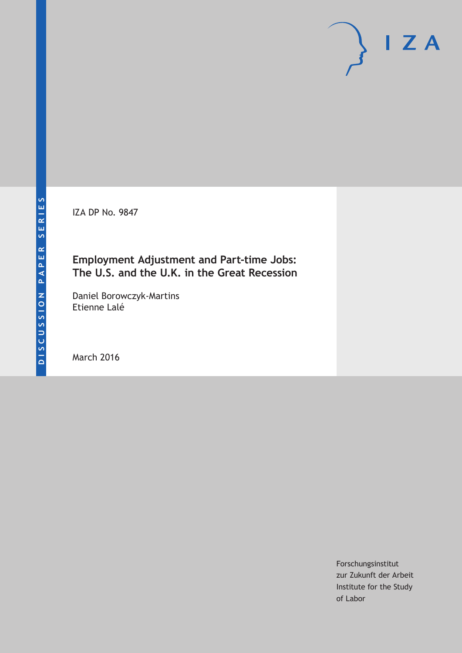IZA DP No. 9847

## **Employment Adjustment and Part-time Jobs: The U.S. and the U.K. in the Great Recession**

Daniel Borowczyk-Martins Etienne Lalé

March 2016

Forschungsinstitut zur Zukunft der Arbeit Institute for the Study of Labor

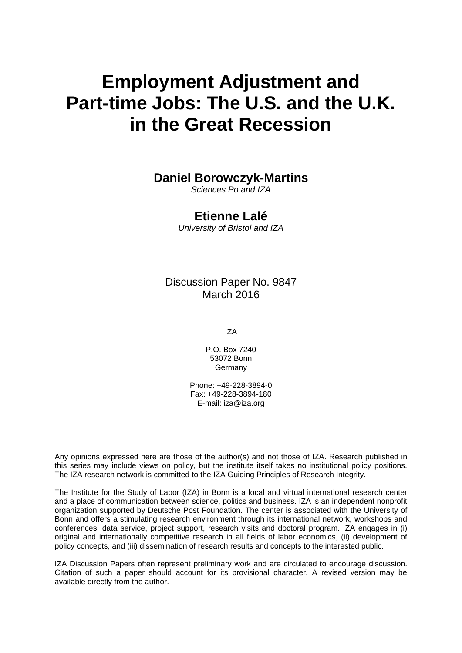# **Employment Adjustment and Part-time Jobs: The U.S. and the U.K. in the Great Recession**

## **Daniel Borowczyk-Martins**

*Sciences Po and IZA* 

## **Etienne Lalé**

*University of Bristol and IZA* 

Discussion Paper No. 9847 March 2016

IZA

P.O. Box 7240 53072 Bonn Germany

Phone: +49-228-3894-0 Fax: +49-228-3894-180 E-mail: iza@iza.org

Any opinions expressed here are those of the author(s) and not those of IZA. Research published in this series may include views on policy, but the institute itself takes no institutional policy positions. The IZA research network is committed to the IZA Guiding Principles of Research Integrity.

The Institute for the Study of Labor (IZA) in Bonn is a local and virtual international research center and a place of communication between science, politics and business. IZA is an independent nonprofit organization supported by Deutsche Post Foundation. The center is associated with the University of Bonn and offers a stimulating research environment through its international network, workshops and conferences, data service, project support, research visits and doctoral program. IZA engages in (i) original and internationally competitive research in all fields of labor economics, (ii) development of policy concepts, and (iii) dissemination of research results and concepts to the interested public.

IZA Discussion Papers often represent preliminary work and are circulated to encourage discussion. Citation of such a paper should account for its provisional character. A revised version may be available directly from the author.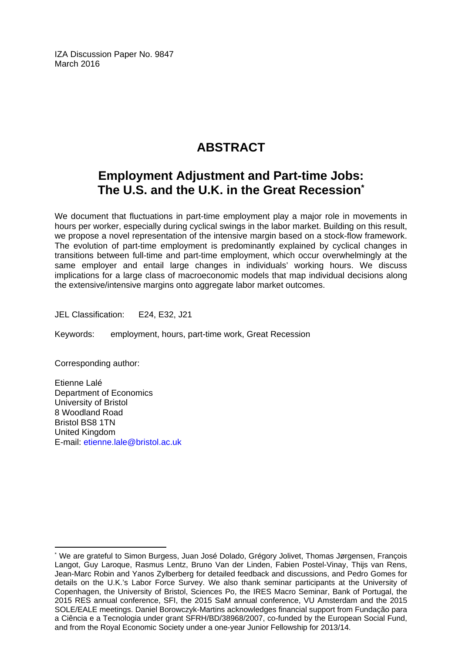IZA Discussion Paper No. 9847 March 2016

## **ABSTRACT**

## **Employment Adjustment and Part-time Jobs: The U.S. and the U.K. in the Great Recession\***

We document that fluctuations in part-time employment play a major role in movements in hours per worker, especially during cyclical swings in the labor market. Building on this result, we propose a novel representation of the intensive margin based on a stock-flow framework. The evolution of part-time employment is predominantly explained by cyclical changes in transitions between full-time and part-time employment, which occur overwhelmingly at the same employer and entail large changes in individuals' working hours. We discuss implications for a large class of macroeconomic models that map individual decisions along the extensive/intensive margins onto aggregate labor market outcomes.

JEL Classification: E24, E32, J21

Keywords: employment, hours, part-time work, Great Recession

Corresponding author:

 $\overline{\phantom{a}}$ 

Etienne Lalé Department of Economics University of Bristol 8 Woodland Road Bristol BS8 1TN United Kingdom E-mail: etienne.lale@bristol.ac.uk

<sup>\*</sup> We are grateful to Simon Burgess, Juan José Dolado, Grégory Jolivet, Thomas Jørgensen, François Langot, Guy Laroque, Rasmus Lentz, Bruno Van der Linden, Fabien Postel-Vinay, Thijs van Rens, Jean-Marc Robin and Yanos Zylberberg for detailed feedback and discussions, and Pedro Gomes for details on the U.K.'s Labor Force Survey. We also thank seminar participants at the University of Copenhagen, the University of Bristol, Sciences Po, the IRES Macro Seminar, Bank of Portugal, the 2015 RES annual conference, SFI, the 2015 SaM annual conference, VU Amsterdam and the 2015 SOLE/EALE meetings. Daniel Borowczyk-Martins acknowledges financial support from Fundação para a Ciência e a Tecnologia under grant SFRH/BD/38968/2007, co-funded by the European Social Fund, and from the Royal Economic Society under a one-year Junior Fellowship for 2013/14.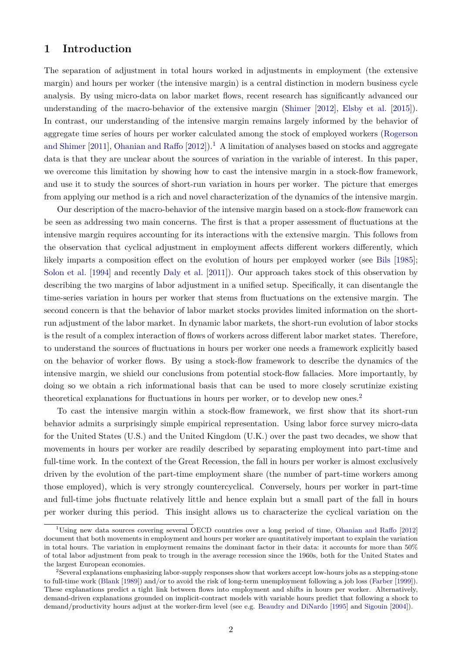## <span id="page-3-0"></span>**1 Introduction**

The separation of adjustment in total hours worked in adjustments in employment (the extensive margin) and hours per worker (the intensive margin) is a central distinction in modern business cycle analysis. By using micro-data on labor market flows, recent research has significantly advanced our understanding of the macro-behavior of the extensive margin [\(Shimer](#page-37-0) [\[2012\]](#page-37-0), [Elsby et al.](#page-35-0) [\[2015\]](#page-35-0)). In contrast, our understanding of the intensive margin remains largely informed by the behavior of aggregate time series of hours per worker calculated among the stock of employed workers [\(Rogerson](#page-37-1) [and Shimer](#page-37-1) [\[2011\]](#page-37-1), [Ohanian and Raffo](#page-36-0)  $[2012]$ .<sup>[1](#page--1-0)</sup> A limitation of analyses based on stocks and aggregate data is that they are unclear about the sources of variation in the variable of interest. In this paper, we overcome this limitation by showing how to cast the intensive margin in a stock-flow framework, and use it to study the sources of short-run variation in hours per worker. The picture that emerges from applying our method is a rich and novel characterization of the dynamics of the intensive margin.

Our description of the macro-behavior of the intensive margin based on a stock-flow framework can be seen as addressing two main concerns. The first is that a proper assessment of fluctuations at the intensive margin requires accounting for its interactions with the extensive margin. This follows from the observation that cyclical adjustment in employment affects different workers differently, which likely imparts a composition effect on the evolution of hours per employed worker (see [Bils](#page-34-0) [\[1985\]](#page-34-0); [Solon et al.](#page-37-2) [\[1994\]](#page-37-2) and recently [Daly et al.](#page-35-1) [\[2011\]](#page-35-1)). Our approach takes stock of this observation by describing the two margins of labor adjustment in a unified setup. Specifically, it can disentangle the time-series variation in hours per worker that stems from fluctuations on the extensive margin. The second concern is that the behavior of labor market stocks provides limited information on the shortrun adjustment of the labor market. In dynamic labor markets, the short-run evolution of labor stocks is the result of a complex interaction of flows of workers across different labor market states. Therefore, to understand the sources of fluctuations in hours per worker one needs a framework explicitly based on the behavior of worker flows. By using a stock-flow framework to describe the dynamics of the intensive margin, we shield our conclusions from potential stock-flow fallacies. More importantly, by doing so we obtain a rich informational basis that can be used to more closely scrutinize existing theoretical explanations for fluctuations in hours per worker, or to develop new ones.[2](#page--1-0)

To cast the intensive margin within a stock-flow framework, we first show that its short-run behavior admits a surprisingly simple empirical representation. Using labor force survey micro-data for the United States (U.S.) and the United Kingdom (U.K.) over the past two decades, we show that movements in hours per worker are readily described by separating employment into part-time and full-time work. In the context of the Great Recession, the fall in hours per worker is almost exclusively driven by the evolution of the part-time employment share (the number of part-time workers among those employed), which is very strongly countercyclical. Conversely, hours per worker in part-time and full-time jobs fluctuate relatively little and hence explain but a small part of the fall in hours per worker during this period. This insight allows us to characterize the cyclical variation on the

<sup>1</sup>Using new data sources covering several OECD countries over a long period of time, [Ohanian and Raffo](#page-36-0) [\[2012\]](#page-36-0) document that both movements in employment and hours per worker are quantitatively important to explain the variation in total hours. The variation in employment remains the dominant factor in their data: it accounts for more than 50% of total labor adjustment from peak to trough in the average recession since the 1960s, both for the United States and the largest European economies.

<sup>2</sup>Several explanations emphasizing labor-supply responses show that workers accept low-hours jobs as a stepping-stone to full-time work [\(Blank](#page-34-1) [\[1989\]](#page-34-1)) and/or to avoid the risk of long-term unemployment following a job loss [\(Farber](#page-35-2) [\[1999\]](#page-35-2)). These explanations predict a tight link between flows into employment and shifts in hours per worker. Alternatively, demand-driven explanations grounded on implicit-contract models with variable hours predict that following a shock to demand/productivity hours adjust at the worker-firm level (see e.g. [Beaudry and DiNardo](#page-34-2) [\[1995\]](#page-34-2) and [Sigouin](#page-37-3) [\[2004\]](#page-37-3)).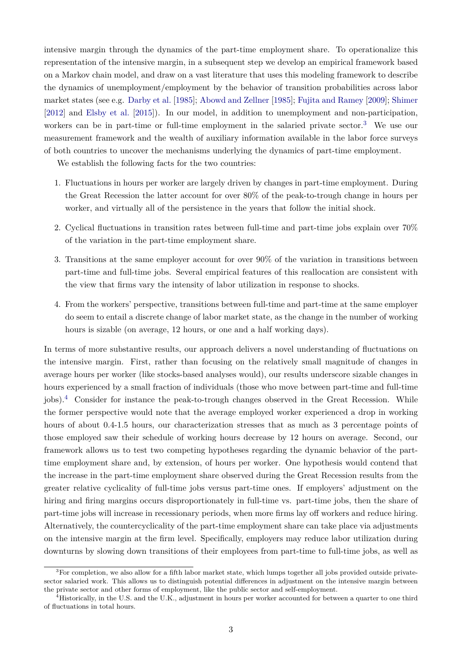intensive margin through the dynamics of the part-time employment share. To operationalize this representation of the intensive margin, in a subsequent step we develop an empirical framework based on a Markov chain model, and draw on a vast literature that uses this modeling framework to describe the dynamics of unemployment/employment by the behavior of transition probabilities across labor market states (see e.g. [Darby et al.](#page-35-3) [\[1985\]](#page-35-3); [Abowd and Zellner](#page-34-3) [\[1985\]](#page-34-3); [Fujita and Ramey](#page-35-4) [\[2009\]](#page-35-4); [Shimer](#page-37-0) [\[2012\]](#page-37-0) and [Elsby et al.](#page-35-0) [\[2015\]](#page-35-0)). In our model, in addition to unemployment and non-participation, workers can be in part-time or full-time employment in the salaried private sector.<sup>[3](#page--1-0)</sup> We use our measurement framework and the wealth of auxiliary information available in the labor force surveys of both countries to uncover the mechanisms underlying the dynamics of part-time employment.

We establish the following facts for the two countries:

- 1. Fluctuations in hours per worker are largely driven by changes in part-time employment. During the Great Recession the latter account for over 80% of the peak-to-trough change in hours per worker, and virtually all of the persistence in the years that follow the initial shock.
- 2. Cyclical fluctuations in transition rates between full-time and part-time jobs explain over 70% of the variation in the part-time employment share.
- 3. Transitions at the same employer account for over 90% of the variation in transitions between part-time and full-time jobs. Several empirical features of this reallocation are consistent with the view that firms vary the intensity of labor utilization in response to shocks.
- <span id="page-4-0"></span>4. From the workers' perspective, transitions between full-time and part-time at the same employer do seem to entail a discrete change of labor market state, as the change in the number of working hours is sizable (on average, 12 hours, or one and a half working days).

In terms of more substantive results, our approach delivers a novel understanding of fluctuations on the intensive margin. First, rather than focusing on the relatively small magnitude of changes in average hours per worker (like stocks-based analyses would), our results underscore sizable changes in hours experienced by a small fraction of individuals (those who move between part-time and full-time jobs).[4](#page--1-0) Consider for instance the peak-to-trough changes observed in the Great Recession. While the former perspective would note that the average employed worker experienced a drop in working hours of about 0.4-1.5 hours, our characterization stresses that as much as 3 percentage points of those employed saw their schedule of working hours decrease by 12 hours on average. Second, our framework allows us to test two competing hypotheses regarding the dynamic behavior of the parttime employment share and, by extension, of hours per worker. One hypothesis would contend that the increase in the part-time employment share observed during the Great Recession results from the greater relative cyclicality of full-time jobs versus part-time ones. If employers' adjustment on the hiring and firing margins occurs disproportionately in full-time vs. part-time jobs, then the share of part-time jobs will increase in recessionary periods, when more firms lay off workers and reduce hiring. Alternatively, the countercyclicality of the part-time employment share can take place via adjustments on the intensive margin at the firm level. Specifically, employers may reduce labor utilization during downturns by slowing down transitions of their employees from part-time to full-time jobs, as well as

<sup>&</sup>lt;sup>3</sup>For completion, we also allow for a fifth labor market state, which lumps together all jobs provided outside privatesector salaried work. This allows us to distinguish potential differences in adjustment on the intensive margin between the private sector and other forms of employment, like the public sector and self-employment.

<sup>4</sup>Historically, in the U.S. and the U.K., adjustment in hours per worker accounted for between a quarter to one third of fluctuations in total hours.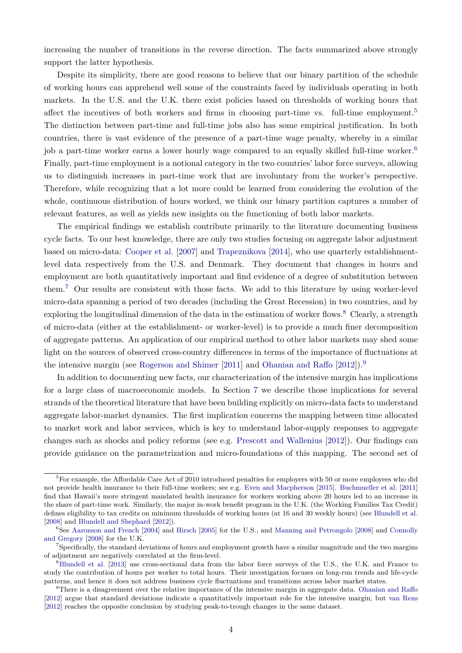increasing the number of transitions in the reverse direction. The facts summarized above strongly support the latter hypothesis.

Despite its simplicity, there are good reasons to believe that our binary partition of the schedule of working hours can apprehend well some of the constraints faced by individuals operating in both markets. In the U.S. and the U.K. there exist policies based on thresholds of working hours that affect the incentives of both workers and firms in choosing part-time vs. full-time employment.<sup>[5](#page--1-0)</sup> The distinction between part-time and full-time jobs also has some empirical justification. In both countries, there is vast evidence of the presence of a part-time wage penalty, whereby in a similar job a part-time worker earns a lower hourly wage compared to an equally skilled full-time worker.<sup>[6](#page--1-0)</sup> Finally, part-time employment is a notional category in the two countries' labor force surveys, allowing us to distinguish increases in part-time work that are involuntary from the worker's perspective. Therefore, while recognizing that a lot more could be learned from considering the evolution of the whole, continuous distribution of hours worked, we think our binary partition captures a number of relevant features, as well as yields new insights on the functioning of both labor markets.

The empirical findings we establish contribute primarily to the literature documenting business cycle facts. To our best knowledge, there are only two studies focusing on aggregate labor adjustment based on micro-data: [Cooper et al.](#page-35-5) [\[2007\]](#page-35-5) and [Trapeznikova](#page-37-4) [\[2014\]](#page-37-4), who use quarterly establishmentlevel data respectively from the U.S. and Denmark. They document that changes in hours and employment are both quantitatively important and find evidence of a degree of substitution between them.[7](#page--1-0) Our results are consistent with those facts. We add to this literature by using worker-level micro-data spanning a period of two decades (including the Great Recession) in two countries, and by exploring the longitudinal dimension of the data in the estimation of worker flows.<sup>[8](#page--1-0)</sup> Clearly, a strength of micro-data (either at the establishment- or worker-level) is to provide a much finer decomposition of aggregate patterns. An application of our empirical method to other labor markets may shed some light on the sources of observed cross-country differences in terms of the importance of fluctuations at the intensive margin (see [Rogerson and Shimer](#page-37-1) [\[2011\]](#page-37-1) and [Ohanian and Raffo](#page-36-0) [\[2012\]](#page-36-0)).<sup>[9](#page--1-0)</sup>

In addition to documenting new facts, our characterization of the intensive margin has implications for a large class of macroeconomic models. In Section [7](#page-31-0) we describe those implications for several strands of the theoretical literature that have been building explicitly on micro-data facts to understand aggregate labor-market dynamics. The first implication concerns the mapping between time allocated to market work and labor services, which is key to understand labor-supply responses to aggregate changes such as shocks and policy reforms (see e.g. [Prescott and Wallenius](#page-37-5) [\[2012\]](#page-37-5)). Our findings can provide guidance on the parametrization and micro-foundations of this mapping. The second set of

 ${}^{5}$ For example, the Affordable Care Act of 2010 introduced penalties for employers with 50 or more employees who did not provide health insurance to their full-time workers; see e.g. [Even and Macpherson](#page-35-6) [\[2015\]](#page-35-6). [Buchmueller et al.](#page-34-4) [\[2011\]](#page-34-4) find that Hawaii's more stringent mandated health insurance for workers working above 20 hours led to an increase in the share of part-time work. Similarly, the major in-work benefit program in the U.K. (the Working Families Tax Credit) defines eligibility to tax credits on minimum thresholds of working hours (at 16 and 30 weekly hours) (see [Blundell et al.](#page-34-5) [\[2008\]](#page-34-5) and [Blundell and Shephard](#page-34-6) [\[2012\]](#page-34-6)).

<sup>&</sup>lt;sup>6</sup>See [Aaronson and French](#page-34-7) [\[2004\]](#page-34-7) and [Hirsch](#page-36-1) [\[2005\]](#page-36-1) for the U.S., and [Manning and Petrongolo](#page-36-2) [\[2008\]](#page-36-2) and [Connolly](#page-35-7) [and Gregory](#page-35-7) [\[2008\]](#page-35-7) for the U.K.

 $7$ Specifically, the standard deviations of hours and employment growth have a similar magnitude and the two margins of adjustment are negatively correlated at the firm-level.

<sup>8</sup>[Blundell et al.](#page-34-8) [\[2013\]](#page-34-8) use cross-sectional data from the labor force surveys of the U.S., the U.K. and France to study the contribution of hours per worker to total hours. Their investigation focuses on long-run trends and life-cycle patterns, and hence it does not address business cycle fluctuations and transitions across labor market states.

<sup>9</sup>There is a disagreement over the relative importance of the intensive margin in aggregate data. [Ohanian and Raffo](#page-36-0) [\[2012\]](#page-36-0) argue that standard deviations indicate a quantitatively important role for the intensive margin, but [van Rens](#page-37-6) [\[2012\]](#page-37-6) reaches the opposite conclusion by studying peak-to-trough changes in the same dataset.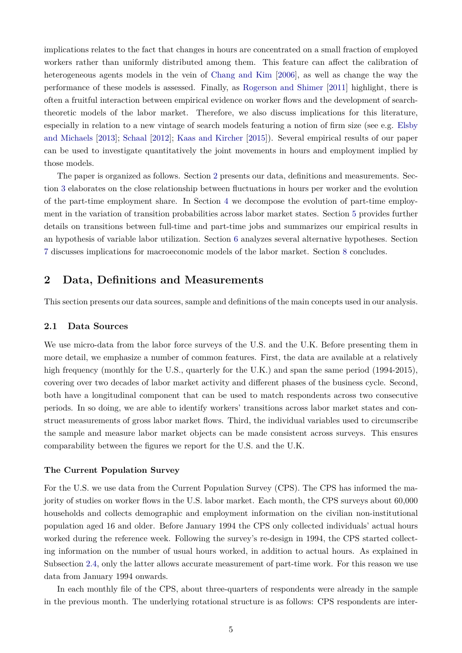implications relates to the fact that changes in hours are concentrated on a small fraction of employed workers rather than uniformly distributed among them. This feature can affect the calibration of heterogeneous agents models in the vein of [Chang and Kim](#page-34-9) [\[2006\]](#page-34-9), as well as change the way the performance of these models is assessed. Finally, as [Rogerson and Shimer](#page-37-1) [\[2011\]](#page-37-1) highlight, there is often a fruitful interaction between empirical evidence on worker flows and the development of searchtheoretic models of the labor market. Therefore, we also discuss implications for this literature, especially in relation to a new vintage of search models featuring a notion of firm size (see e.g. [Elsby](#page-35-8) [and Michaels](#page-35-8) [\[2013\]](#page-35-8); [Schaal](#page-37-7) [\[2012\]](#page-37-7); [Kaas and Kircher](#page-36-3) [\[2015\]](#page-36-3)). Several empirical results of our paper can be used to investigate quantitatively the joint movements in hours and employment implied by those models.

The paper is organized as follows. Section [2](#page-6-0) presents our data, definitions and measurements. Section [3](#page-8-0) elaborates on the close relationship between fluctuations in hours per worker and the evolution of the part-time employment share. In Section [4](#page-14-0) we decompose the evolution of part-time employment in the variation of transition probabilities across labor market states. Section [5](#page-19-0) provides further details on transitions between full-time and part-time jobs and summarizes our empirical results in an hypothesis of variable labor utilization. Section [6](#page-26-0) analyzes several alternative hypotheses. Section [7](#page-31-0) discusses implications for macroeconomic models of the labor market. Section [8](#page-33-0) concludes.

## <span id="page-6-0"></span>**2 Data, Definitions and Measurements**

This section presents our data sources, sample and definitions of the main concepts used in our analysis.

#### **2.1 Data Sources**

We use micro-data from the labor force surveys of the U.S. and the U.K. Before presenting them in more detail, we emphasize a number of common features. First, the data are available at a relatively high frequency (monthly for the U.S., quarterly for the U.K.) and span the same period (1994-2015), covering over two decades of labor market activity and different phases of the business cycle. Second, both have a longitudinal component that can be used to match respondents across two consecutive periods. In so doing, we are able to identify workers' transitions across labor market states and construct measurements of gross labor market flows. Third, the individual variables used to circumscribe the sample and measure labor market objects can be made consistent across surveys. This ensures comparability between the figures we report for the U.S. and the U.K.

#### <span id="page-6-1"></span>**The Current Population Survey**

For the U.S. we use data from the Current Population Survey (CPS). The CPS has informed the majority of studies on worker flows in the U.S. labor market. Each month, the CPS surveys about 60,000 households and collects demographic and employment information on the civilian non-institutional population aged 16 and older. Before January 1994 the CPS only collected individuals' actual hours worked during the reference week. Following the survey's re-design in 1994, the CPS started collecting information on the number of usual hours worked, in addition to actual hours. As explained in Subsection [2.4,](#page-8-1) only the latter allows accurate measurement of part-time work. For this reason we use data from January 1994 onwards.

In each monthly file of the CPS, about three-quarters of respondents were already in the sample in the previous month. The underlying rotational structure is as follows: CPS respondents are inter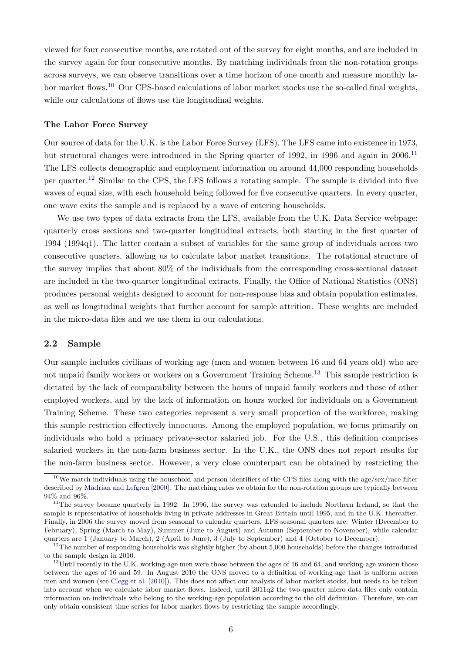viewed for four consecutive months, are rotated out of the survey for eight months, and are included in the survey again for four consecutive months. By matching individuals from the non-rotation groups across surveys, we can observe transitions over a time horizon of one month and measure monthly la-bor market flows.<sup>[10](#page--1-0)</sup> Our CPS-based calculations of labor market stocks use the so-called final weights, while our calculations of flows use the longitudinal weights.

#### **The Labor Force Survey**

Our source of data for the U.K. is the Labor Force Survey (LFS). The LFS came into existence in 1973, but structural changes were introduced in the Spring quarter of 1992, in 1996 and again in 2006.<sup>[11](#page--1-0)</sup> The LFS collects demographic and employment information on around 44,000 responding households per quarter.[12](#page--1-0) Similar to the CPS, the LFS follows a rotating sample. The sample is divided into five waves of equal size, with each household being followed for five consecutive quarters. In every quarter, one wave exits the sample and is replaced by a wave of entering households.

We use two types of data extracts from the LFS, available from the U.K. Data Service webpage: quarterly cross sections and two-quarter longitudinal extracts, both starting in the first quarter of 1994 (1994q1). The latter contain a subset of variables for the same group of individuals across two consecutive quarters, allowing us to calculate labor market transitions. The rotational structure of the survey implies that about 80% of the individuals from the corresponding cross-sectional dataset are included in the two-quarter longitudinal extracts. Finally, the Office of National Statistics (ONS) produces personal weights designed to account for non-response bias and obtain population estimates, as well as longitudinal weights that further account for sample attrition. These weights are included in the micro-data files and we use them in our calculations.

#### <span id="page-7-0"></span>**2.2 Sample**

Our sample includes civilians of working age (men and women between 16 and 64 years old) who are not unpaid family workers or workers on a Government Training Scheme.<sup>[13](#page--1-0)</sup> This sample restriction is dictated by the lack of comparability between the hours of unpaid family workers and those of other employed workers, and by the lack of information on hours worked for individuals on a Government Training Scheme. These two categories represent a very small proportion of the workforce, making this sample restriction effectively innocuous. Among the employed population, we focus primarily on individuals who hold a primary private-sector salaried job. For the U.S., this definition comprises salaried workers in the non-farm business sector. In the U.K., the ONS does not report results for the non-farm business sector. However, a very close counterpart can be obtained by restricting the

<sup>&</sup>lt;sup>10</sup>We match individuals using the household and person identifiers of the CPS files along with the age/sex/race filter described by [Madrian and Lefgren](#page-36-4) [\[2000\]](#page-36-4). The matching rates we obtain for the non-rotation groups are typically between 94% and 96%.

<sup>&</sup>lt;sup>11</sup>The survey became quarterly in 1992. In 1996, the survey was extended to include Northern Ireland, so that the sample is representative of households living in private addresses in Great Britain until 1995, and in the U.K. thereafter. Finally, in 2006 the survey moved from seasonal to calendar quarters. LFS seasonal quarters are: Winter (December to February), Spring (March to May), Summer (June to August) and Autumn (September to November), while calendar quarters are 1 (January to March), 2 (April to June), 3 (July to September) and 4 (October to December).

 $12$ The number of responding households was slightly higher (by about 5,000 households) before the changes introduced to the sample design in 2010.

 $^{13}$ Until recently in the U.K. working-age men were those between the ages of 16 and 64, and working-age women those between the ages of 16 and 59. In August 2010 the ONS moved to a definition of working-age that is uniform across men and women (see [Clegg et al.](#page-34-10) [\[2010\]](#page-34-10)). This does not affect our analysis of labor market stocks, but needs to be taken into account when we calculate labor market flows. Indeed, until 2011q2 the two-quarter micro-data files only contain information on individuals who belong to the working-age population according to the old definition. Therefore, we can only obtain consistent time series for labor market flows by restricting the sample accordingly.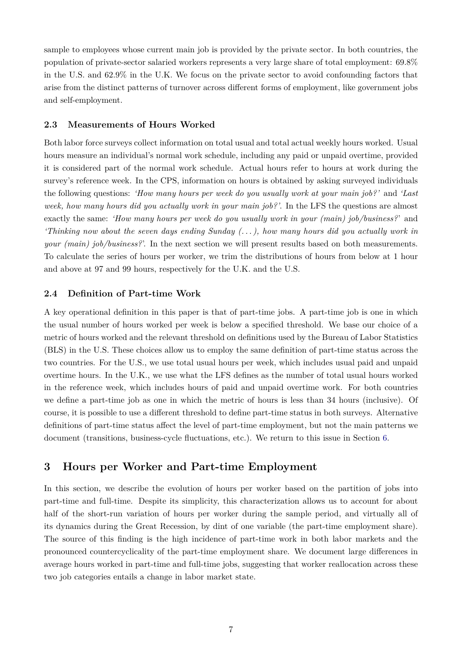sample to employees whose current main job is provided by the private sector. In both countries, the population of private-sector salaried workers represents a very large share of total employment: 69.8% in the U.S. and 62.9% in the U.K. We focus on the private sector to avoid confounding factors that arise from the distinct patterns of turnover across different forms of employment, like government jobs and self-employment.

#### **2.3 Measurements of Hours Worked**

Both labor force surveys collect information on total usual and total actual weekly hours worked. Usual hours measure an individual's normal work schedule, including any paid or unpaid overtime, provided it is considered part of the normal work schedule. Actual hours refer to hours at work during the survey's reference week. In the CPS, information on hours is obtained by asking surveyed individuals the following questions: *'How many hours per week do you usually work at your main job?'* and *'Last week, how many hours did you actually work in your main job?'*. In the LFS the questions are almost exactly the same: *'How many hours per week do you usually work in your (main) job/business?*' and *'Thinking now about the seven days ending Sunday (. . . ), how many hours did you actually work in your (main) job/business?*. In the next section we will present results based on both measurements. To calculate the series of hours per worker, we trim the distributions of hours from below at 1 hour and above at 97 and 99 hours, respectively for the U.K. and the U.S.

#### <span id="page-8-1"></span>**2.4 Definition of Part-time Work**

A key operational definition in this paper is that of part-time jobs. A part-time job is one in which the usual number of hours worked per week is below a specified threshold. We base our choice of a metric of hours worked and the relevant threshold on definitions used by the Bureau of Labor Statistics (BLS) in the U.S. These choices allow us to employ the same definition of part-time status across the two countries. For the U.S., we use total usual hours per week, which includes usual paid and unpaid overtime hours. In the U.K., we use what the LFS defines as the number of total usual hours worked in the reference week, which includes hours of paid and unpaid overtime work. For both countries we define a part-time job as one in which the metric of hours is less than 34 hours (inclusive). Of course, it is possible to use a different threshold to define part-time status in both surveys. Alternative definitions of part-time status affect the level of part-time employment, but not the main patterns we document (transitions, business-cycle fluctuations, etc.). We return to this issue in Section [6.](#page-26-0)

### <span id="page-8-0"></span>**3 Hours per Worker and Part-time Employment**

In this section, we describe the evolution of hours per worker based on the partition of jobs into part-time and full-time. Despite its simplicity, this characterization allows us to account for about half of the short-run variation of hours per worker during the sample period, and virtually all of its dynamics during the Great Recession, by dint of one variable (the part-time employment share). The source of this finding is the high incidence of part-time work in both labor markets and the pronounced countercyclicality of the part-time employment share. We document large differences in average hours worked in part-time and full-time jobs, suggesting that worker reallocation across these two job categories entails a change in labor market state.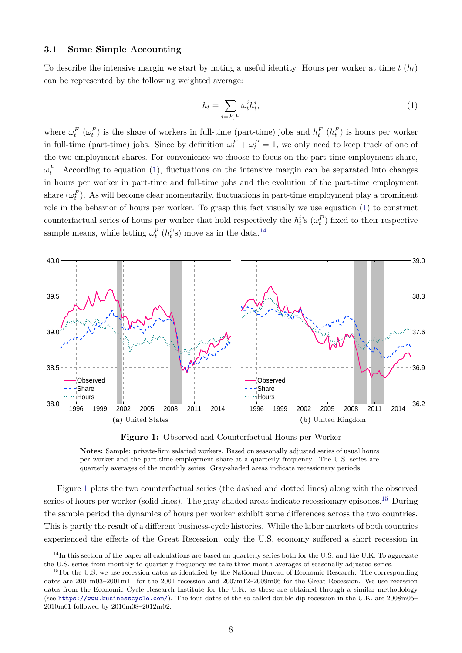#### **3.1 Some Simple Accounting**

To describe the intensive margin we start by noting a useful identity. Hours per worker at time  $t(h_t)$ can be represented by the following weighted average:

<span id="page-9-0"></span>
$$
h_t = \sum_{i=F,P} \omega_t^i h_t^i,\tag{1}
$$

where  $\omega_t^F(\omega_t^P)$  is the share of workers in full-time (part-time) jobs and  $h_t^F(h_t^P)$  is hours per worker in full-time (part-time) jobs. Since by definition  $\omega_t^F + \omega_t^P = 1$ , we only need to keep track of one of the two employment shares. For convenience we choose to focus on the part-time employment share,  $\omega_t^P$ . According to equation [\(1\)](#page-9-0), fluctuations on the intensive margin can be separated into changes in hours per worker in part-time and full-time jobs and the evolution of the part-time employment share  $(\omega_t^P)$ . As will become clear momentarily, fluctuations in part-time employment play a prominent role in the behavior of hours per worker. To grasp this fact visually we use equation [\(1\)](#page-9-0) to construct counterfactual series of hours per worker that hold respectively the  $h_t^i$ 's  $(\omega_t^P)$  fixed to their respective sample means, while letting  $\omega_t^p$  $_t^p$  ( $h_t^i$ 's) move as in the data.<sup>[14](#page--1-0)</sup>

<span id="page-9-2"></span><span id="page-9-1"></span>

<span id="page-9-3"></span>**Figure 1:** Observed and Counterfactual Hours per Worker

**Notes:** Sample: private-firm salaried workers. Based on seasonally adjusted series of usual hours per worker and the part-time employment share at a quarterly frequency. The U.S. series are quarterly averages of the monthly series. Gray-shaded areas indicate recessionary periods.

Figure [1](#page-9-1) plots the two counterfactual series (the dashed and dotted lines) along with the observed series of hours per worker (solid lines). The gray-shaded areas indicate recessionary episodes.<sup>[15](#page--1-0)</sup> During the sample period the dynamics of hours per worker exhibit some differences across the two countries. This is partly the result of a different business-cycle histories. While the labor markets of both countries experienced the effects of the Great Recession, only the U.S. economy suffered a short recession in

 $14$ In this section of the paper all calculations are based on quarterly series both for the U.S. and the U.K. To aggregate the U.S. series from monthly to quarterly frequency we take three-month averages of seasonally adjusted series.

<sup>&</sup>lt;sup>15</sup>For the U.S. we use recession dates as identified by the National Bureau of Economic Research. The corresponding dates are 2001m03–2001m11 for the 2001 recession and 2007m12–2009m06 for the Great Recession. We use recession dates from the Economic Cycle Research Institute for the U.K. as these are obtained through a similar methodology (see <https://www.businesscycle.com/>). The four dates of the so-called double dip recession in the U.K. are 2008m05– 2010m01 followed by 2010m08–2012m02.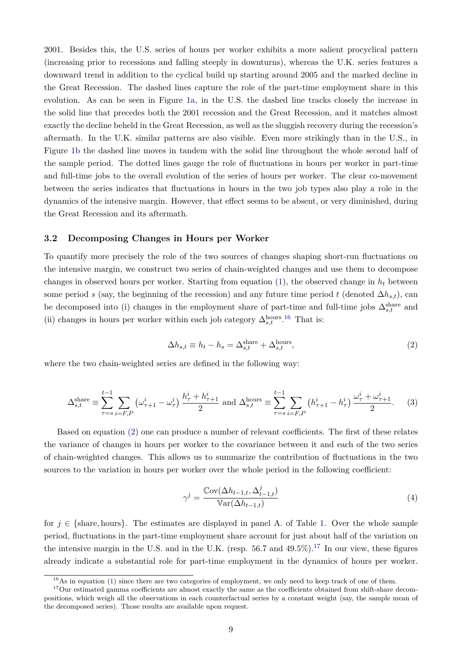2001. Besides this, the U.S. series of hours per worker exhibits a more salient procyclical pattern (increasing prior to recessions and falling steeply in downturns), whereas the U.K. series features a downward trend in addition to the cyclical build up starting around 2005 and the marked decline in the Great Recession. The dashed lines capture the role of the part-time employment share in this evolution. As can be seen in Figure [1a,](#page-9-2) in the U.S. the dashed line tracks closely the increase in the solid line that precedes both the 2001 recession and the Great Recession, and it matches almost exactly the decline beheld in the Great Recession, as well as the sluggish recovery during the recession's aftermath. In the U.K. similar patterns are also visible. Even more strikingly than in the U.S., in Figure [1b](#page-9-3) the dashed line moves in tandem with the solid line throughout the whole second half of the sample period. The dotted lines gauge the role of fluctuations in hours per worker in part-time and full-time jobs to the overall evolution of the series of hours per worker. The clear co-movement between the series indicates that fluctuations in hours in the two job types also play a role in the dynamics of the intensive margin. However, that effect seems to be absent, or very diminished, during the Great Recession and its aftermath.

#### <span id="page-10-2"></span>**3.2 Decomposing Changes in Hours per Worker**

To quantify more precisely the role of the two sources of changes shaping short-run fluctuations on the intensive margin, we construct two series of chain-weighted changes and use them to decompose changes in observed hours per worker. Starting from equation  $(1)$ , the observed change in  $h_t$  between some period s (say, the beginning of the recession) and any future time period t (denoted  $\Delta h_{s,t}$ ), can be decomposed into (i) changes in the employment share of part-time and full-time jobs  $\Delta_{s,t}^{\text{share}}$  and (ii) changes in hours per worker within each job category  $\Delta_{s,t}^{\text{hours}}$ .<sup>[16](#page--1-0)</sup> That is:

<span id="page-10-0"></span>
$$
\Delta h_{s,t} \equiv h_t - h_s = \Delta_{s,t}^{\text{share}} + \Delta_{s,t}^{\text{hours}},\tag{2}
$$

where the two chain-weighted series are defined in the following way:

<span id="page-10-1"></span>
$$
\Delta_{s,t}^{\text{share}} \equiv \sum_{\tau=s}^{t-1} \sum_{i=F,P} \left( \omega_{\tau+1}^i - \omega_{\tau}^i \right) \frac{h_{\tau}^i + h_{\tau+1}^i}{2} \text{ and } \Delta_{s,t}^{\text{hours}} \equiv \sum_{\tau=s}^{t-1} \sum_{i=F,P} \left( h_{\tau+1}^i - h_{\tau}^i \right) \frac{\omega_{\tau}^i + \omega_{\tau+1}^i}{2}. \tag{3}
$$

Based on equation [\(2\)](#page-10-0) one can produce a number of relevant coefficients. The first of these relates the variance of changes in hours per worker to the covariance between it and each of the two series of chain-weighted changes. This allows us to summarize the contribution of fluctuations in the two sources to the variation in hours per worker over the whole period in the following coefficient:

$$
\gamma^{j} = \frac{\text{Cov}(\Delta h_{t-1,t}, \Delta_{t-1,t}^{j})}{\text{Var}(\Delta h_{t-1,t})}
$$
(4)

for  $j \in \{\text{share}, \text{hours}\}.$  The estimates are displayed in panel A. of Table [1.](#page-11-0) Over the whole sample period, fluctuations in the part-time employment share account for just about half of the variation on the intensive margin in the U.S. and in the U.K. (resp. 56.7 and  $49.5\%$ ).<sup>[17](#page--1-0)</sup> In our view, these figures already indicate a substantial role for part-time employment in the dynamics of hours per worker.

 $16\text{As in equation (1) since there are two categories of employment, we only need to keep track of one of them.}$  $16\text{As in equation (1) since there are two categories of employment, we only need to keep track of one of them.}$  $16\text{As in equation (1) since there are two categories of employment, we only need to keep track of one of them.}$ 

<sup>&</sup>lt;sup>17</sup>Our estimated gamma coefficients are almost exactly the same as the coefficients obtained from shift-share decompositions, which weigh all the observations in each counterfactual series by a constant weight (say, the sample mean of the decomposed series). Those results are available upon request.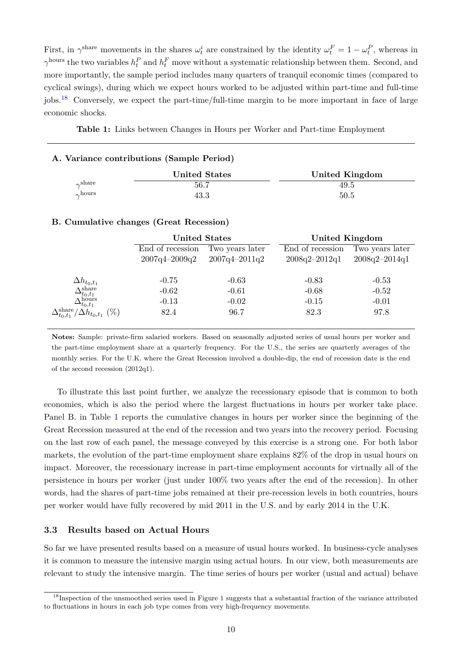First, in  $\gamma^{\text{share}}$  movements in the shares  $\omega_t^i$  are constrained by the identity  $\omega_t^F = 1 - \omega_t^P$ , whereas in  $\gamma^{\text{hours}}$  the two variables  $h_t^P$  and  $h_t^F$  move without a systematic relationship between them. Second, and more importantly, the sample period includes many quarters of tranquil economic times (compared to cyclical swings), during which we expect hours worked to be adjusted within part-time and full-time jobs.[18](#page--1-0) Conversely, we expect the part-time/full-time margin to be more important in face of large economic shocks.

<span id="page-11-0"></span>**Table 1:** Links between Changes in Hours per Worker and Part-time Employment

#### **A. Variance contributions (Sample Period)**

|              | <b>United States</b> | United Kingdom |
|--------------|----------------------|----------------|
| $\sim$ share | 56.7                 | 49.5           |
| $\sim$ hours | 43.3                 | 50.5           |

#### **B. Cumulative changes (Great Recession)**

|                                                                    | <b>United States</b>                |                   | <b>United Kingdom</b> |                   |
|--------------------------------------------------------------------|-------------------------------------|-------------------|-----------------------|-------------------|
|                                                                    | End of recession<br>Two years later |                   | End of recession      | Two years later   |
|                                                                    | $2007q4 - 2009q2$                   | $2007q4 - 2011q2$ | $2008q2 - 2012q1$     | $2008q2 - 2014q1$ |
| $\Delta h_{t_0,t_1}$                                               | $-0.75$                             | $-0.63$           | $-0.83$               | $-0.53$           |
| $\Delta_{t_0,t_1}^{\text{share}}$                                  | $-0.62$                             | $-0.61$           | $-0.68$               | $-0.52$           |
| $\Delta^{\text{hours}}_{t_0,t_1}$                                  | $-0.13$                             | $-0.02$           | $-0.15$               | $-0.01$           |
| $\Delta_{t_0,t_1}^\text{share}$<br>$'\Delta h_{t_0,t_1}$<br>$(\%)$ | 82.4                                | 96.7              | 82.3                  | 97.8              |

**Notes:** Sample: private-firm salaried workers. Based on seasonally adjusted series of usual hours per worker and the part-time employment share at a quarterly frequency. For the U.S., the series are quarterly averages of the monthly series. For the U.K. where the Great Recession involved a double-dip, the end of recession date is the end of the second recession (2012q1).

To illustrate this last point further, we analyze the recessionary episode that is common to both economies, which is also the period where the largest fluctuations in hours per worker take place. Panel B. in Table [1](#page-11-0) reports the cumulative changes in hours per worker since the beginning of the Great Recession measured at the end of the recession and two years into the recovery period. Focusing on the last row of each panel, the message conveyed by this exercise is a strong one. For both labor markets, the evolution of the part-time employment share explains 82% of the drop in usual hours on impact. Moreover, the recessionary increase in part-time employment accounts for virtually all of the persistence in hours per worker (just under 100% two years after the end of the recession). In other words, had the shares of part-time jobs remained at their pre-recession levels in both countries, hours per worker would have fully recovered by mid 2011 in the U.S. and by early 2014 in the U.K.

#### **3.3 Results based on Actual Hours**

So far we have presented results based on a measure of usual hours worked. In business-cycle analyses it is common to measure the intensive margin using actual hours. In our view, both measurements are relevant to study the intensive margin. The time series of hours per worker (usual and actual) behave

 $18$  $18$ Inspection of the unsmoothed series used in Figure 1 suggests that a substantial fraction of the variance attributed to fluctuations in hours in each job type comes from very high-frequency movements.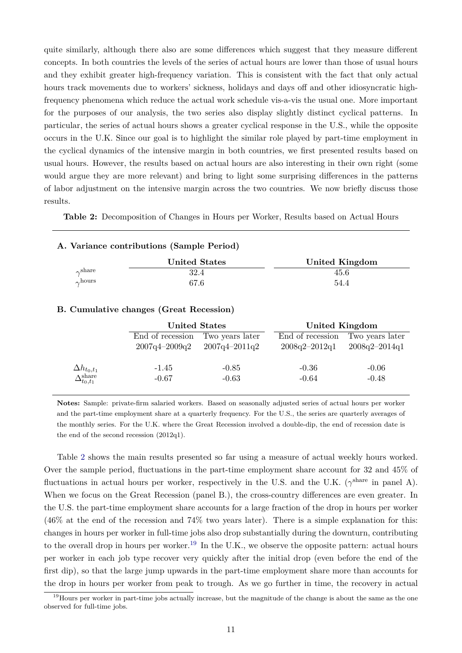quite similarly, although there also are some differences which suggest that they measure different concepts. In both countries the levels of the series of actual hours are lower than those of usual hours and they exhibit greater high-frequency variation. This is consistent with the fact that only actual hours track movements due to workers' sickness, holidays and days off and other idiosyncratic highfrequency phenomena which reduce the actual work schedule vis-a-vis the usual one. More important for the purposes of our analysis, the two series also display slightly distinct cyclical patterns. In particular, the series of actual hours shows a greater cyclical response in the U.S., while the opposite occurs in the U.K. Since our goal is to highlight the similar role played by part-time employment in the cyclical dynamics of the intensive margin in both countries, we first presented results based on usual hours. However, the results based on actual hours are also interesting in their own right (some would argue they are more relevant) and bring to light some surprising differences in the patterns of labor adjustment on the intensive margin across the two countries. We now briefly discuss those results.

<span id="page-12-0"></span>**Table 2:** Decomposition of Changes in Hours per Worker, Results based on Actual Hours

## **A. Variance contributions (Sample Period)**

|              | <b>United States</b> | United Kingdom |
|--------------|----------------------|----------------|
| $\sim$ share | 32.4                 | 45.6           |
| $\sim$ hours | 67.6                 | 54.4           |

#### **B. Cumulative changes (Great Recession)**

|                                                                | <b>United States</b>             |                   | United Kingdom    |                   |  |
|----------------------------------------------------------------|----------------------------------|-------------------|-------------------|-------------------|--|
|                                                                | End of recession Two years later |                   | End of recession  | Two years later   |  |
|                                                                | $2007q4 - 2009q2$                | $2007q4 - 2011q2$ | $2008q2 - 2012q1$ | $2008q2 - 2014q1$ |  |
|                                                                |                                  |                   |                   |                   |  |
|                                                                | $-1.45$                          | $-0.85$           | $-0.36$           | $-0.06$           |  |
| $\frac{\Delta h_{t_0,t_1}}{\Delta_{t_0,t_1}^{\mathrm{share}}}$ | $-0.67$                          | $-0.63$           | $-0.64$           | $-0.48$           |  |
|                                                                |                                  |                   |                   |                   |  |

**Notes:** Sample: private-firm salaried workers. Based on seasonally adjusted series of actual hours per worker and the part-time employment share at a quarterly frequency. For the U.S., the series are quarterly averages of the monthly series. For the U.K. where the Great Recession involved a double-dip, the end of recession date is the end of the second recession (2012q1).

Table [2](#page-12-0) shows the main results presented so far using a measure of actual weekly hours worked. Over the sample period, fluctuations in the part-time employment share account for 32 and 45% of fluctuations in actual hours per worker, respectively in the U.S. and the U.K. ( $\gamma^{\text{share}}$  in panel A). When we focus on the Great Recession (panel B.), the cross-country differences are even greater. In the U.S. the part-time employment share accounts for a large fraction of the drop in hours per worker (46% at the end of the recession and 74% two years later). There is a simple explanation for this: changes in hours per worker in full-time jobs also drop substantially during the downturn, contributing to the overall drop in hours per worker.<sup>[19](#page--1-0)</sup> In the U.K., we observe the opposite pattern: actual hours per worker in each job type recover very quickly after the initial drop (even before the end of the first dip), so that the large jump upwards in the part-time employment share more than accounts for the drop in hours per worker from peak to trough. As we go further in time, the recovery in actual

<sup>&</sup>lt;sup>19</sup>Hours per worker in part-time jobs actually increase, but the magnitude of the change is about the same as the one observed for full-time jobs.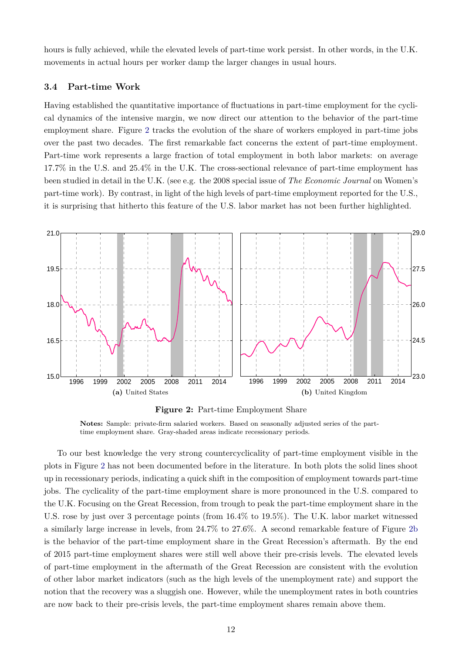hours is fully achieved, while the elevated levels of part-time work persist. In other words, in the U.K. movements in actual hours per worker damp the larger changes in usual hours.

#### **3.4 Part-time Work**

Having established the quantitative importance of fluctuations in part-time employment for the cyclical dynamics of the intensive margin, we now direct our attention to the behavior of the part-time employment share. Figure [2](#page-13-0) tracks the evolution of the share of workers employed in part-time jobs over the past two decades. The first remarkable fact concerns the extent of part-time employment. Part-time work represents a large fraction of total employment in both labor markets: on average 17.7% in the U.S. and 25.4% in the U.K. The cross-sectional relevance of part-time employment has been studied in detail in the U.K. (see e.g. the 2008 special issue of *The Economic Journal* on Women's part-time work). By contrast, in light of the high levels of part-time employment reported for the U.S., it is surprising that hitherto this feature of the U.S. labor market has not been further highlighted.

<span id="page-13-2"></span><span id="page-13-0"></span>

<span id="page-13-1"></span>**Figure 2:** Part-time Employment Share

**Notes:** Sample: private-firm salaried workers. Based on seasonally adjusted series of the parttime employment share. Gray-shaded areas indicate recessionary periods.

To our best knowledge the very strong countercyclicality of part-time employment visible in the plots in Figure [2](#page-13-0) has not been documented before in the literature. In both plots the solid lines shoot up in recessionary periods, indicating a quick shift in the composition of employment towards part-time jobs. The cyclicality of the part-time employment share is more pronounced in the U.S. compared to the U.K. Focusing on the Great Recession, from trough to peak the part-time employment share in the U.S. rose by just over 3 percentage points (from 16.4% to 19.5%). The U.K. labor market witnessed a similarly large increase in levels, from 24.7% to 27.6%. A second remarkable feature of Figure [2b](#page-13-1) is the behavior of the part-time employment share in the Great Recession's aftermath. By the end of 2015 part-time employment shares were still well above their pre-crisis levels. The elevated levels of part-time employment in the aftermath of the Great Recession are consistent with the evolution of other labor market indicators (such as the high levels of the unemployment rate) and support the notion that the recovery was a sluggish one. However, while the unemployment rates in both countries are now back to their pre-crisis levels, the part-time employment shares remain above them.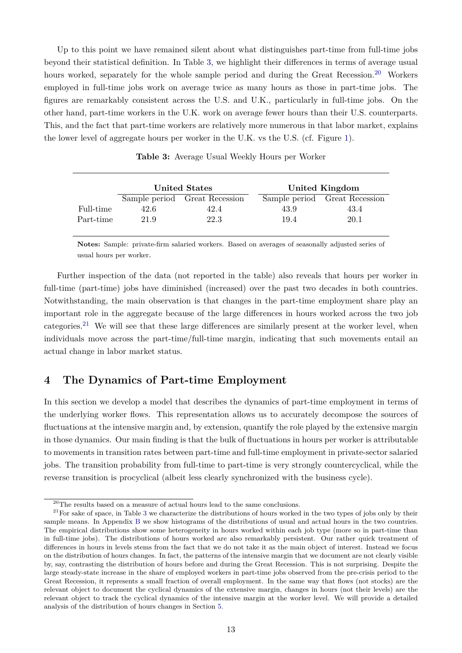Up to this point we have remained silent about what distinguishes part-time from full-time jobs beyond their statistical definition. In Table [3,](#page-14-1) we highlight their differences in terms of average usual hours worked, separately for the whole sample period and during the Great Recession.<sup>[20](#page--1-0)</sup> Workers employed in full-time jobs work on average twice as many hours as those in part-time jobs. The figures are remarkably consistent across the U.S. and U.K., particularly in full-time jobs. On the other hand, part-time workers in the U.K. work on average fewer hours than their U.S. counterparts. This, and the fact that part-time workers are relatively more numerous in that labor market, explains the lower level of aggregate hours per worker in the U.K. vs the U.S. (cf. Figure [1\)](#page-9-1).

<span id="page-14-1"></span>

|           |      | <b>United States</b>          |      | United Kingdom                |
|-----------|------|-------------------------------|------|-------------------------------|
|           |      | Sample period Great Recession |      | Sample period Great Recession |
| Full-time | 42.6 | 42.4                          | 43.9 | 43.4                          |
| Part-time | 21.9 | 22.3                          | 19.4 | 20.1                          |

**Table 3:** Average Usual Weekly Hours per Worker

**Notes:** Sample: private-firm salaried workers. Based on averages of seasonally adjusted series of usual hours per worker.

Further inspection of the data (not reported in the table) also reveals that hours per worker in full-time (part-time) jobs have diminished (increased) over the past two decades in both countries. Notwithstanding, the main observation is that changes in the part-time employment share play an important role in the aggregate because of the large differences in hours worked across the two job categories.[21](#page--1-0) We will see that these large differences are similarly present at the worker level, when individuals move across the part-time/full-time margin, indicating that such movements entail an actual change in labor market status.

## <span id="page-14-0"></span>**4 The Dynamics of Part-time Employment**

In this section we develop a model that describes the dynamics of part-time employment in terms of the underlying worker flows. This representation allows us to accurately decompose the sources of fluctuations at the intensive margin and, by extension, quantify the role played by the extensive margin in those dynamics. Our main finding is that the bulk of fluctuations in hours per worker is attributable to movements in transition rates between part-time and full-time employment in private-sector salaried jobs. The transition probability from full-time to part-time is very strongly countercyclical, while the reverse transition is procyclical (albeit less clearly synchronized with the business cycle).

 $^{20}\mathrm{The}$  results based on a measure of actual hours lead to the same conclusions.

 $21$  For sake of space, in Table [3](#page-14-1) we characterize the distributions of hours worked in the two types of jobs only by their sample means. In Appendix [B](#page-42-0) we show histograms of the distributions of usual and actual hours in the two countries. The empirical distributions show some heterogeneity in hours worked within each job type (more so in part-time than in full-time jobs). The distributions of hours worked are also remarkably persistent. Our rather quick treatment of differences in hours in levels stems from the fact that we do not take it as the main object of interest. Instead we focus on the distribution of hours changes. In fact, the patterns of the intensive margin that we document are not clearly visible by, say, contrasting the distribution of hours before and during the Great Recession. This is not surprising. Despite the large steady-state increase in the share of employed workers in part-time jobs observed from the pre-crisis period to the Great Recession, it represents a small fraction of overall employment. In the same way that flows (not stocks) are the relevant object to document the cyclical dynamics of the extensive margin, changes in hours (not their levels) are the relevant object to track the cyclical dynamics of the intensive margin at the worker level. We will provide a detailed analysis of the distribution of hours changes in Section [5.](#page-19-0)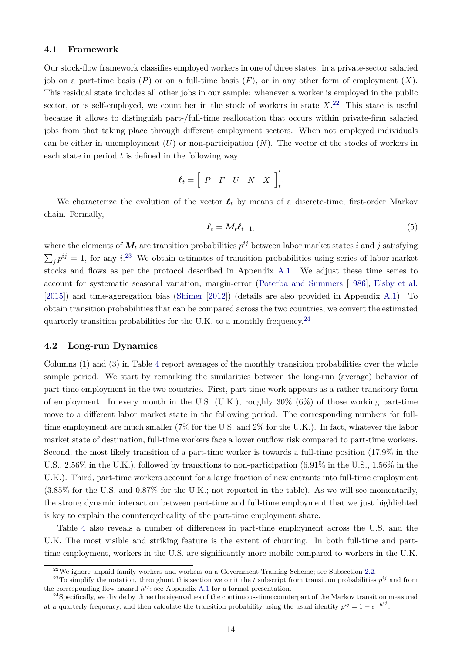#### **4.1 Framework**

Our stock-flow framework classifies employed workers in one of three states: in a private-sector salaried job on a part-time basis  $(P)$  or on a full-time basis  $(F)$ , or in any other form of employment  $(X)$ . This residual state includes all other jobs in our sample: whenever a worker is employed in the public sector, or is self-employed, we count her in the stock of workers in state  $X<sup>22</sup>$  $X<sup>22</sup>$  $X<sup>22</sup>$ . This state is useful because it allows to distinguish part-/full-time reallocation that occurs within private-firm salaried jobs from that taking place through different employment sectors. When not employed individuals can be either in unemployment  $(U)$  or non-participation  $(N)$ . The vector of the stocks of workers in each state in period  $t$  is defined in the following way:

$$
\boldsymbol{\ell}_t = \left[ \begin{array}{ccc} P & F & U & N & X \end{array} \right]_t'.
$$

We characterize the evolution of the vector  $\ell_t$  by means of a discrete-time, first-order Markov chain. Formally,

<span id="page-15-0"></span>
$$
\ell_t = M_t \ell_{t-1},\tag{5}
$$

where the elements of  $M_t$  are transition probabilities  $p^{ij}$  between labor market states  $i$  and  $j$  satisfying  $\sum_j p^{ij} = 1$ , for any i.<sup>[23](#page--1-0)</sup> We obtain estimates of transition probabilities using series of labor-market stocks and flows as per the protocol described in Appendix [A.1.](#page-38-0) We adjust these time series to account for systematic seasonal variation, margin-error [\(Poterba and Summers](#page-36-5) [\[1986\]](#page-36-5), [Elsby et al.](#page-35-0) [\[2015\]](#page-35-0)) and time-aggregation bias [\(Shimer](#page-37-0) [\[2012\]](#page-37-0)) (details are also provided in Appendix [A.1\)](#page-38-0). To obtain transition probabilities that can be compared across the two countries, we convert the estimated quarterly transition probabilities for the U.K. to a monthly frequency.<sup>[24](#page--1-0)</sup>

#### **4.2 Long-run Dynamics**

Columns (1) and (3) in Table [4](#page-16-0) report averages of the monthly transition probabilities over the whole sample period. We start by remarking the similarities between the long-run (average) behavior of part-time employment in the two countries. First, part-time work appears as a rather transitory form of employment. In every month in the U.S.  $(U.K.)$ , roughly  $30\%$  (6%) of those working part-time move to a different labor market state in the following period. The corresponding numbers for fulltime employment are much smaller (7% for the U.S. and 2% for the U.K.). In fact, whatever the labor market state of destination, full-time workers face a lower outflow risk compared to part-time workers. Second, the most likely transition of a part-time worker is towards a full-time position (17.9% in the U.S., 2.56% in the U.K.), followed by transitions to non-participation (6.91% in the U.S., 1.56% in the U.K.). Third, part-time workers account for a large fraction of new entrants into full-time employment (3.85% for the U.S. and 0.87% for the U.K.; not reported in the table). As we will see momentarily, the strong dynamic interaction between part-time and full-time employment that we just highlighted is key to explain the countercyclicality of the part-time employment share.

Table [4](#page-16-0) also reveals a number of differences in part-time employment across the U.S. and the U.K. The most visible and striking feature is the extent of churning. In both full-time and parttime employment, workers in the U.S. are significantly more mobile compared to workers in the U.K.

 $22$ We ignore unpaid family workers and workers on a Government Training Scheme; see Subsection [2.2.](#page-7-0)

<sup>&</sup>lt;sup>23</sup>To simplify the notation, throughout this section we omit the t subscript from transition probabilities  $p^{ij}$  and from the corresponding flow hazard  $h^{ij}$ ; see Appendix [A.1](#page-38-0) for a formal presentation.

<sup>&</sup>lt;sup>24</sup>Specifically, we divide by three the eigenvalues of the continuous-time counterpart of the Markov transition measured at a quarterly frequency, and then calculate the transition probability using the usual identity  $p^{ij} = 1 - e^{-h^{ij}}$ .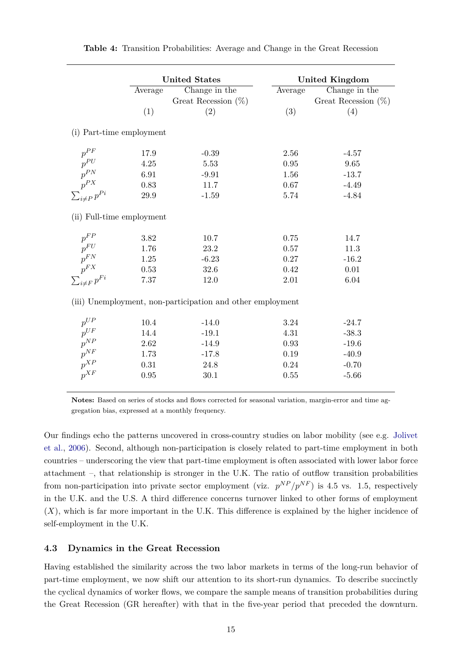<span id="page-16-2"></span><span id="page-16-0"></span>

|                                                         |          | <b>United States</b>                                       |         | <b>United Kingdom</b>  |
|---------------------------------------------------------|----------|------------------------------------------------------------|---------|------------------------|
|                                                         | Average  | Change in the                                              | Average | Change in the          |
|                                                         |          | Great Recession $(\%)$                                     |         | Great Recession $(\%)$ |
|                                                         | (1)      | (2)                                                        | (3)     | (4)                    |
| (i) Part-time employment                                |          |                                                            |         |                        |
| $p^{PF}$                                                | 17.9     | $-0.39$                                                    | 2.56    | $-4.57$                |
| $p^{PU}$                                                | 4.25     | 5.53                                                       | 0.95    | 9.65                   |
|                                                         | 6.91     | $-9.91$                                                    | 1.56    | $-13.7$                |
|                                                         | 0.83     | 11.7                                                       | 0.67    | $-4.49$                |
| $p^{PN}$<br>$p^{PX}$<br>$\sum_{i\neq P} p^{Pi}$         | $29.9\,$ | $-1.59$                                                    | 5.74    | $-4.84$                |
| (ii) Full-time employment                               |          |                                                            |         |                        |
| $p^{FP}$                                                | 3.82     | 10.7                                                       | 0.75    | 14.7                   |
| $p^{\boldsymbol{F}\boldsymbol{U}}$                      | 1.76     | 23.2                                                       | 0.57    | 11.3                   |
|                                                         | 1.25     | $-6.23$                                                    | 0.27    | $-16.2$                |
|                                                         | 0.53     | 32.6                                                       | 0.42    | 0.01                   |
| $\frac{p^{FN}}{p^{FX}}$<br>$\sum_{i \neq F}^{r} p^{Fi}$ | 7.37     | 12.0                                                       | 2.01    | 6.04                   |
|                                                         |          | (iii) Unemployment, non-participation and other employment |         |                        |
| $p^{UP}$                                                | 10.4     | $-14.0$                                                    | 3.24    | $-24.7$                |
| $p^{UF}$                                                | 14.4     | $-19.1$                                                    | 4.31    | $-38.3$                |
| $p^{NP}$                                                | 2.62     | $-14.9$                                                    | 0.93    | $-19.6$                |
| $p^{NF}$                                                | 1.73     | $-17.8$                                                    | 0.19    | $-40.9$                |
| $p^{XP}$                                                | 0.31     | 24.8                                                       | 0.24    | $-0.70$                |
| $p^{XF}$                                                | $0.95\,$ | 30.1                                                       | 0.55    | $-5.66$                |

**Table 4:** Transition Probabilities: Average and Change in the Great Recession

**Notes:** Based on series of stocks and flows corrected for seasonal variation, margin-error and time aggregation bias, expressed at a monthly frequency.

Our findings echo the patterns uncovered in cross-country studies on labor mobility (see e.g. [Jolivet](#page-36-6) [et al.,](#page-36-6) [2006\)](#page-36-6). Second, although non-participation is closely related to part-time employment in both countries – underscoring the view that part-time employment is often associated with lower labor force attachment –, that relationship is stronger in the U.K. The ratio of outflow transition probabilities from non-participation into private sector employment (viz.  $p^{NP}/p^{NF}$ ) is 4.5 vs. 1.5, respectively in the U.K. and the U.S. A third difference concerns turnover linked to other forms of employment  $(X)$ , which is far more important in the U.K. This difference is explained by the higher incidence of self-employment in the U.K.

#### <span id="page-16-1"></span>**4.3 Dynamics in the Great Recession**

Having established the similarity across the two labor markets in terms of the long-run behavior of part-time employment, we now shift our attention to its short-run dynamics. To describe succinctly the cyclical dynamics of worker flows, we compare the sample means of transition probabilities during the Great Recession (GR hereafter) with that in the five-year period that preceded the downturn.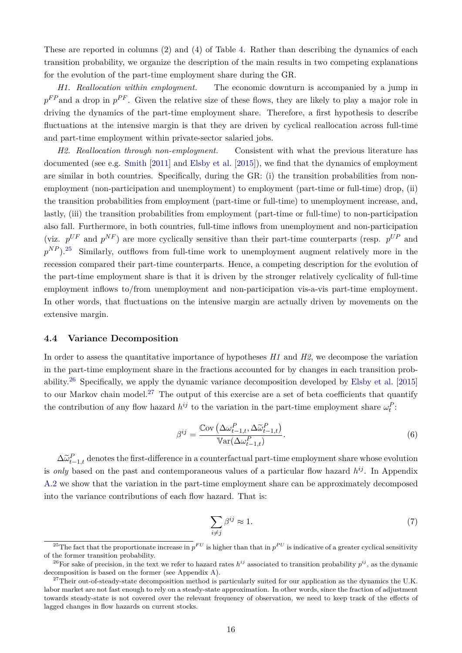These are reported in columns (2) and (4) of Table [4.](#page-16-0) Rather than describing the dynamics of each transition probability, we organize the description of the main results in two competing explanations for the evolution of the part-time employment share during the GR.

*H1. Reallocation within employment.* The economic downturn is accompanied by a jump in  $p^{FP}$  and a drop in  $p^{PF}$ . Given the relative size of these flows, they are likely to play a major role in driving the dynamics of the part-time employment share. Therefore, a first hypothesis to describe fluctuations at the intensive margin is that they are driven by cyclical reallocation across full-time and part-time employment within private-sector salaried jobs.

*H2. Reallocation through non-employment.* Consistent with what the previous literature has documented (see e.g. [Smith](#page-37-8) [\[2011\]](#page-37-8) and [Elsby et al.](#page-35-0) [\[2015\]](#page-35-0)), we find that the dynamics of employment are similar in both countries. Specifically, during the GR: (i) the transition probabilities from nonemployment (non-participation and unemployment) to employment (part-time or full-time) drop, (ii) the transition probabilities from employment (part-time or full-time) to unemployment increase, and, lastly, (iii) the transition probabilities from employment (part-time or full-time) to non-participation also fall. Furthermore, in both countries, full-time inflows from unemployment and non-participation (viz.  $p^{UF}$  and  $p^{NF}$ ) are more cyclically sensitive than their part-time counterparts (resp.  $p^{UP}$  and  $p^{NP}$ ).<sup>[25](#page--1-0)</sup> Similarly, outflows from full-time work to unemployment augment relatively more in the recession compared their part-time counterparts. Hence, a competing description for the evolution of the part-time employment share is that it is driven by the stronger relatively cyclicality of full-time employment inflows to/from unemployment and non-participation vis-a-vis part-time employment. In other words, that fluctuations on the intensive margin are actually driven by movements on the extensive margin.

#### <span id="page-17-0"></span>**4.4 Variance Decomposition**

In order to assess the quantitative importance of hypotheses *H1* and *H2*, we decompose the variation in the part-time employment share in the fractions accounted for by changes in each transition probability.[26](#page--1-0) Specifically, we apply the dynamic variance decomposition developed by [Elsby et al.](#page-35-0) [\[2015\]](#page-35-0) to our Markov chain model.<sup>[27](#page--1-0)</sup> The output of this exercise are a set of beta coefficients that quantify the contribution of any flow hazard  $h^{ij}$  to the variation in the part-time employment share  $\omega_t^P$ :

$$
\beta^{ij} = \frac{\text{Cov}\left(\Delta \omega_{t-1,t}^P, \Delta \widetilde{\omega}_{t-1,t}^P\right)}{\mathbb{V}\text{ar}(\Delta \omega_{t-1,t}^P)}.
$$
\n
$$
(6)
$$

 $\Delta \tilde{\omega}_{t-1,t}^P$  denotes the first-difference in a counterfactual part-time employment share whose evolution is *only* based on the past and contemporaneous values of a particular flow hazard  $h^{ij}$ . In Appendix [A.2](#page-40-0) we show that the variation in the part-time employment share can be approximately decomposed into the variance contributions of each flow hazard. That is:

$$
\sum_{i \neq j} \beta^{ij} \approx 1. \tag{7}
$$

<sup>&</sup>lt;sup>25</sup>The fact that the proportionate increase in  $p^{FU}$  is higher than that in  $p^{PU}$  is indicative of a greater cyclical sensitivity of the former transition probability.

<sup>&</sup>lt;sup>26</sup>For sake of precision, in the text we refer to hazard rates  $h^{ij}$  associated to transition probability  $p^{ij}$ , as the dynamic decomposition is based on the former (see Appendix [A\)](#page-38-1).

<sup>&</sup>lt;sup>27</sup>Their out-of-steady-state decomposition method is particularly suited for our application as the dynamics the U.K. labor market are not fast enough to rely on a steady-state approximation. In other words, since the fraction of adjustment towards steady-state is not covered over the relevant frequency of observation, we need to keep track of the effects of lagged changes in flow hazards on current stocks.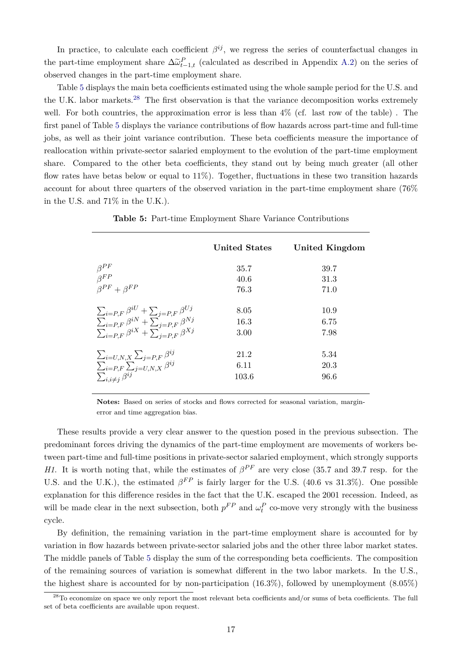In practice, to calculate each coefficient  $\beta^{ij}$ , we regress the series of counterfactual changes in the part-time employment share  $\Delta \tilde{\omega}_{t-1,t}^P$  (calculated as described in Appendix [A.2\)](#page-40-0) on the series of observed changes in the part-time employment share.

Table [5](#page-18-0) displays the main beta coefficients estimated using the whole sample period for the U.S. and the U.K. labor markets.<sup>[28](#page--1-0)</sup> The first observation is that the variance decomposition works extremely well. For both countries, the approximation error is less than  $4\%$  (cf. last row of the table). The first panel of Table [5](#page-18-0) displays the variance contributions of flow hazards across part-time and full-time jobs, as well as their joint variance contribution. These beta coefficients measure the importance of reallocation within private-sector salaried employment to the evolution of the part-time employment share. Compared to the other beta coefficients, they stand out by being much greater (all other flow rates have betas below or equal to  $11\%$ ). Together, fluctuations in these two transition hazards account for about three quarters of the observed variation in the part-time employment share (76% in the U.S. and 71% in the U.K.).

**Table 5:** Part-time Employment Share Variance Contributions

<span id="page-18-1"></span><span id="page-18-0"></span>

|                                                                                                                                                                                      | <b>United States</b>  | United Kingdom       |
|--------------------------------------------------------------------------------------------------------------------------------------------------------------------------------------|-----------------------|----------------------|
| $\begin{array}{l} \beta^{PF}\\ \beta^{FP}\\ \beta^{PF}+\beta^{FP} \end{array}$                                                                                                       | 35.7<br>40.6<br>76.3  | 39.7<br>31.3<br>71.0 |
| $\frac{\sum_{i=P,F}\beta^{iU}+\sum_{j=P,F}\beta^{Uj}}{\sum_{i=P,F}\beta^{iN}+\sum_{j=P,F}\beta^{Nj}}\\ \frac{\sum_{i=P,F}\beta^{iX}+\sum_{j=P,F}\beta^{Xj}}{\sum_{i=P,F}\beta^{iX}}$ | 8.05<br>16.3<br>3.00  | 10.9<br>6.75<br>7.98 |
| $\frac{\sum_{i=U,N,X}\sum_{j=P,F}\beta^{ij}}{\sum_{i=P,F}\sum_{j=U,N,X}\beta^{ij}}$                                                                                                  | 21.2<br>6.11<br>103.6 | 5.34<br>20.3<br>96.6 |

**Notes:** Based on series of stocks and flows corrected for seasonal variation, marginerror and time aggregation bias.

These results provide a very clear answer to the question posed in the previous subsection. The predominant forces driving the dynamics of the part-time employment are movements of workers between part-time and full-time positions in private-sector salaried employment, which strongly supports *H1*. It is worth noting that, while the estimates of  $\beta^{PF}$  are very close (35.7 and 39.7 resp. for the U.S. and the U.K.), the estimated  $\beta^{FP}$  is fairly larger for the U.S. (40.6 vs 31.3%). One possible explanation for this difference resides in the fact that the U.K. escaped the 2001 recession. Indeed, as will be made clear in the next subsection, both  $p^{FP}$  and  $\omega_t^P$  co-move very strongly with the business cycle.

By definition, the remaining variation in the part-time employment share is accounted for by variation in flow hazards between private-sector salaried jobs and the other three labor market states. The middle panels of Table [5](#page-18-0) display the sum of the corresponding beta coefficients. The composition of the remaining sources of variation is somewhat different in the two labor markets. In the U.S., the highest share is accounted for by non-participation (16.3%), followed by unemployment (8.05%)

 $^{28}$ To economize on space we only report the most relevant beta coefficients and/or sums of beta coefficients. The full set of beta coefficients are available upon request.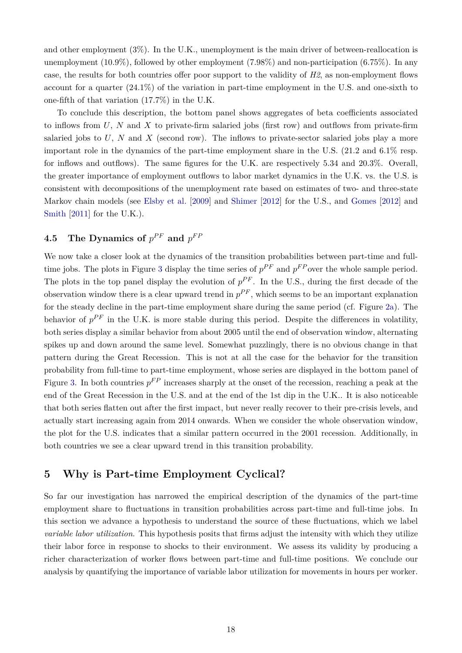and other employment (3%). In the U.K., unemployment is the main driver of between-reallocation is unemployment (10.9%), followed by other employment (7.98%) and non-participation (6.75%). In any case, the results for both countries offer poor support to the validity of *H2*, as non-employment flows account for a quarter (24.1%) of the variation in part-time employment in the U.S. and one-sixth to one-fifth of that variation (17.7%) in the U.K.

To conclude this description, the bottom panel shows aggregates of beta coefficients associated to inflows from  $U, N$  and X to private-firm salaried jobs (first row) and outflows from private-firm salaried jobs to  $U$ ,  $N$  and  $X$  (second row). The inflows to private-sector salaried jobs play a more important role in the dynamics of the part-time employment share in the U.S. (21.2 and 6.1% resp. for inflows and outflows). The same figures for the U.K. are respectively 5.34 and 20.3%. Overall, the greater importance of employment outflows to labor market dynamics in the U.K. vs. the U.S. is consistent with decompositions of the unemployment rate based on estimates of two- and three-state Markov chain models (see [Elsby et al.](#page-35-9) [\[2009\]](#page-35-9) and [Shimer](#page-37-0) [\[2012\]](#page-37-0) for the U.S., and [Gomes](#page-35-10) [\[2012\]](#page-35-10) and [Smith](#page-37-8) [\[2011\]](#page-37-8) for the U.K.).

## $\textbf{4.5} \quad$  The Dynamics of  $p^{PF}$  and  $p^{FF}$

We now take a closer look at the dynamics of the transition probabilities between part-time and full-time jobs. The plots in Figure [3](#page-20-0) display the time series of  $p^{PF}$  and  $p^{FP}$  over the whole sample period. The plots in the top panel display the evolution of  $p^{PF}$ . In the U.S., during the first decade of the observation window there is a clear upward trend in  $p^{PF}$ , which seems to be an important explanation for the steady decline in the part-time employment share during the same period (cf. Figure [2a\)](#page-13-2). The behavior of  $p^{PF}$  in the U.K. is more stable during this period. Despite the differences in volatility, both series display a similar behavior from about 2005 until the end of observation window, alternating spikes up and down around the same level. Somewhat puzzlingly, there is no obvious change in that pattern during the Great Recession. This is not at all the case for the behavior for the transition probability from full-time to part-time employment, whose series are displayed in the bottom panel of Figure [3.](#page-20-0) In both countries  $p^{FP}$  increases sharply at the onset of the recession, reaching a peak at the end of the Great Recession in the U.S. and at the end of the 1st dip in the U.K.. It is also noticeable that both series flatten out after the first impact, but never really recover to their pre-crisis levels, and actually start increasing again from 2014 onwards. When we consider the whole observation window, the plot for the U.S. indicates that a similar pattern occurred in the 2001 recession. Additionally, in both countries we see a clear upward trend in this transition probability.

## <span id="page-19-0"></span>**5 Why is Part-time Employment Cyclical?**

So far our investigation has narrowed the empirical description of the dynamics of the part-time employment share to fluctuations in transition probabilities across part-time and full-time jobs. In this section we advance a hypothesis to understand the source of these fluctuations, which we label *variable labor utilization*. This hypothesis posits that firms adjust the intensity with which they utilize their labor force in response to shocks to their environment. We assess its validity by producing a richer characterization of worker flows between part-time and full-time positions. We conclude our analysis by quantifying the importance of variable labor utilization for movements in hours per worker.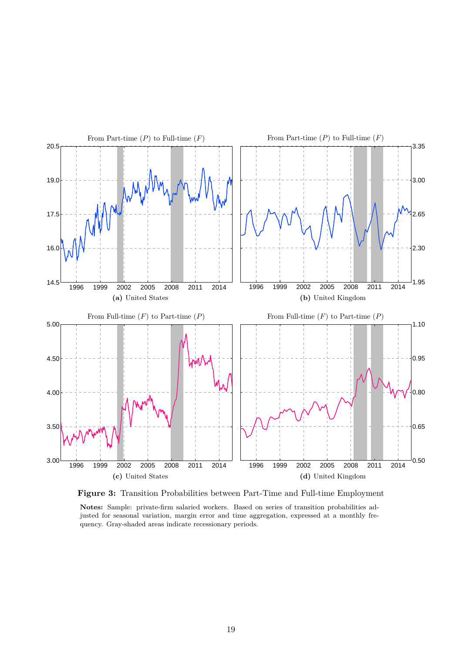<span id="page-20-0"></span>

**Figure 3:** Transition Probabilities between Part-Time and Full-time Employment

**Notes:** Sample: private-firm salaried workers. Based on series of transition probabilities adjusted for seasonal variation, margin error and time aggregation, expressed at a monthly frequency. Gray-shaded areas indicate recessionary periods.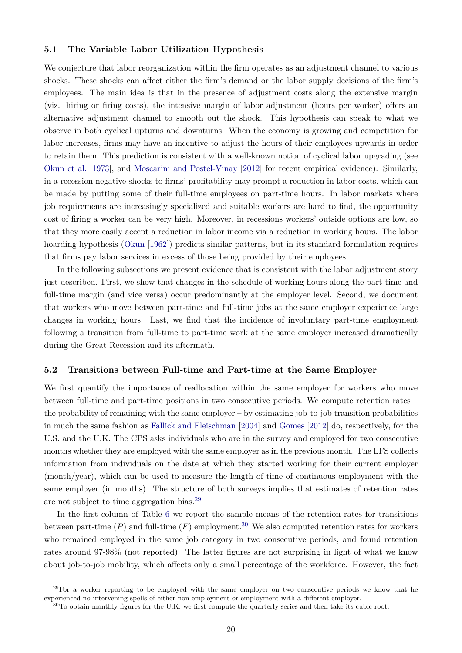#### <span id="page-21-1"></span>**5.1 The Variable Labor Utilization Hypothesis**

We conjecture that labor reorganization within the firm operates as an adjustment channel to various shocks. These shocks can affect either the firm's demand or the labor supply decisions of the firm's employees. The main idea is that in the presence of adjustment costs along the extensive margin (viz. hiring or firing costs), the intensive margin of labor adjustment (hours per worker) offers an alternative adjustment channel to smooth out the shock. This hypothesis can speak to what we observe in both cyclical upturns and downturns. When the economy is growing and competition for labor increases, firms may have an incentive to adjust the hours of their employees upwards in order to retain them. This prediction is consistent with a well-known notion of cyclical labor upgrading (see [Okun et al.](#page-36-7) [\[1973\]](#page-36-7), and [Moscarini and Postel-Vinay](#page-36-8) [\[2012\]](#page-36-8) for recent empirical evidence). Similarly, in a recession negative shocks to firms' profitability may prompt a reduction in labor costs, which can be made by putting some of their full-time employees on part-time hours. In labor markets where job requirements are increasingly specialized and suitable workers are hard to find, the opportunity cost of firing a worker can be very high. Moreover, in recessions workers' outside options are low, so that they more easily accept a reduction in labor income via a reduction in working hours. The labor hoarding hypothesis [\(Okun](#page-36-9) [\[1962\]](#page-36-9)) predicts similar patterns, but in its standard formulation requires that firms pay labor services in excess of those being provided by their employees.

In the following subsections we present evidence that is consistent with the labor adjustment story just described. First, we show that changes in the schedule of working hours along the part-time and full-time margin (and vice versa) occur predominantly at the employer level. Second, we document that workers who move between part-time and full-time jobs at the same employer experience large changes in working hours. Last, we find that the incidence of involuntary part-time employment following a transition from full-time to part-time work at the same employer increased dramatically during the Great Recession and its aftermath.

#### <span id="page-21-0"></span>**5.2 Transitions between Full-time and Part-time at the Same Employer**

We first quantify the importance of reallocation within the same employer for workers who move between full-time and part-time positions in two consecutive periods. We compute retention rates – the probability of remaining with the same employer – by estimating job-to-job transition probabilities in much the same fashion as [Fallick and Fleischman](#page-35-11) [\[2004\]](#page-35-11) and [Gomes](#page-35-10) [\[2012\]](#page-35-10) do, respectively, for the U.S. and the U.K. The CPS asks individuals who are in the survey and employed for two consecutive months whether they are employed with the same employer as in the previous month. The LFS collects information from individuals on the date at which they started working for their current employer (month/year), which can be used to measure the length of time of continuous employment with the same employer (in months). The structure of both surveys implies that estimates of retention rates are not subject to time aggregation bias.[29](#page--1-0)

In the first column of Table [6](#page-22-0) we report the sample means of the retention rates for transitions between part-time  $(P)$  and full-time  $(F)$  employment.<sup>[30](#page--1-0)</sup> We also computed retention rates for workers who remained employed in the same job category in two consecutive periods, and found retention rates around 97-98% (not reported). The latter figures are not surprising in light of what we know about job-to-job mobility, which affects only a small percentage of the workforce. However, the fact

 $^{29}$ For a worker reporting to be employed with the same employer on two consecutive periods we know that he experienced no intervening spells of either non-employment or employment with a different employer.

<sup>&</sup>lt;sup>30</sup>To obtain monthly figures for the U.K. we first compute the quarterly series and then take its cubic root.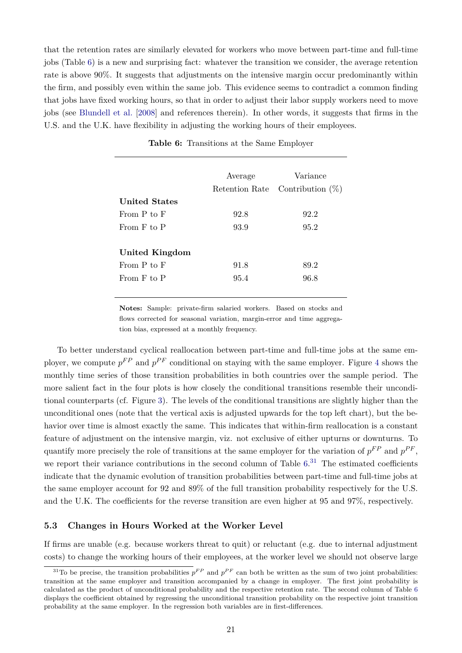that the retention rates are similarly elevated for workers who move between part-time and full-time jobs (Table [6\)](#page-22-0) is a new and surprising fact: whatever the transition we consider, the average retention rate is above 90%. It suggests that adjustments on the intensive margin occur predominantly within the firm, and possibly even within the same job. This evidence seems to contradict a common finding that jobs have fixed working hours, so that in order to adjust their labor supply workers need to move jobs (see [Blundell et al.](#page-34-5) [\[2008\]](#page-34-5) and references therein). In other words, it suggests that firms in the U.S. and the U.K. have flexibility in adjusting the working hours of their employees.

<span id="page-22-0"></span>

|                      | Average | Variance<br>Retention Rate Contribution $(\%)$ |
|----------------------|---------|------------------------------------------------|
| <b>United States</b> |         |                                                |
| From $P$ to $F$      | 92.8    | 92.2                                           |
| From F to P          | 93.9    | 95.2                                           |
| United Kingdom       |         |                                                |
| From P to F          | 91.8    | 89.2                                           |
| From F to P          | 95.4    | 96.8                                           |

**Table 6:** Transitions at the Same Employer

**Notes:** Sample: private-firm salaried workers. Based on stocks and flows corrected for seasonal variation, margin-error and time aggregation bias, expressed at a monthly frequency.

To better understand cyclical reallocation between part-time and full-time jobs at the same employer, we compute  $p^{FP}$  and  $p^{PF}$  conditional on staying with the same employer. Figure [4](#page-23-0) shows the monthly time series of those transition probabilities in both countries over the sample period. The more salient fact in the four plots is how closely the conditional transitions resemble their unconditional counterparts (cf. Figure [3\)](#page-20-0). The levels of the conditional transitions are slightly higher than the unconditional ones (note that the vertical axis is adjusted upwards for the top left chart), but the behavior over time is almost exactly the same. This indicates that within-firm reallocation is a constant feature of adjustment on the intensive margin, viz. not exclusive of either upturns or downturns. To quantify more precisely the role of transitions at the same employer for the variation of  $p^{FP}$  and  $p^{PF}$ , we report their variance contributions in the second column of Table [6.](#page-22-0)<sup>[31](#page--1-0)</sup> The estimated coefficients indicate that the dynamic evolution of transition probabilities between part-time and full-time jobs at the same employer account for 92 and 89% of the full transition probability respectively for the U.S. and the U.K. The coefficients for the reverse transition are even higher at 95 and 97%, respectively.

#### **5.3 Changes in Hours Worked at the Worker Level**

If firms are unable (e.g. because workers threat to quit) or reluctant (e.g. due to internal adjustment costs) to change the working hours of their employees, at the worker level we should not observe large

<sup>&</sup>lt;sup>31</sup>To be precise, the transition probabilities  $p^{FP}$  and  $p^{PF}$  can both be written as the sum of two joint probabilities: transition at the same employer and transition accompanied by a change in employer. The first joint probability is calculated as the product of unconditional probability and the respective retention rate. The second column of Table [6](#page-22-0) displays the coefficient obtained by regressing the unconditional transition probability on the respective joint transition probability at the same employer. In the regression both variables are in first-differences.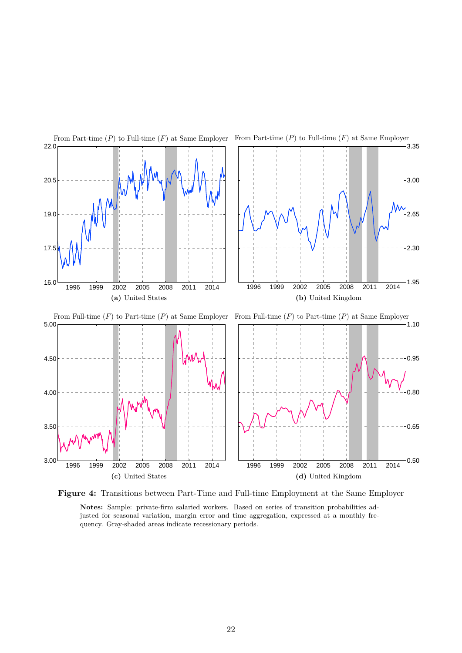<span id="page-23-0"></span>



**Notes:** Sample: private-firm salaried workers. Based on series of transition probabilities adjusted for seasonal variation, margin error and time aggregation, expressed at a monthly frequency. Gray-shaded areas indicate recessionary periods.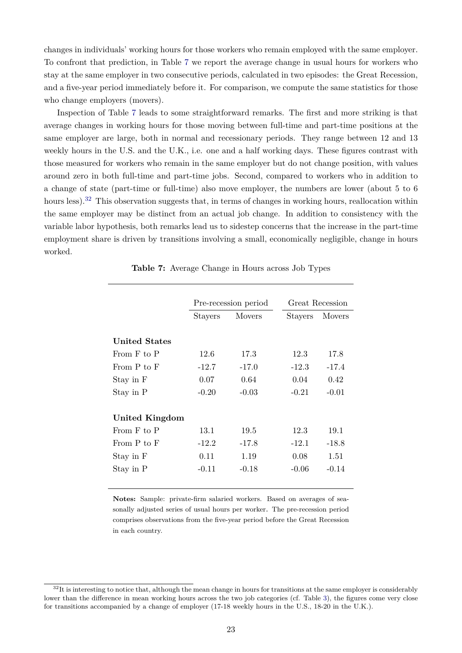changes in individuals' working hours for those workers who remain employed with the same employer. To confront that prediction, in Table [7](#page-24-0) we report the average change in usual hours for workers who stay at the same employer in two consecutive periods, calculated in two episodes: the Great Recession, and a five-year period immediately before it. For comparison, we compute the same statistics for those who change employers (movers).

Inspection of Table [7](#page-24-0) leads to some straightforward remarks. The first and more striking is that average changes in working hours for those moving between full-time and part-time positions at the same employer are large, both in normal and recessionary periods. They range between 12 and 13 weekly hours in the U.S. and the U.K., i.e. one and a half working days. These figures contrast with those measured for workers who remain in the same employer but do not change position, with values around zero in both full-time and part-time jobs. Second, compared to workers who in addition to a change of state (part-time or full-time) also move employer, the numbers are lower (about 5 to 6 hours less).<sup>[32](#page--1-0)</sup> This observation suggests that, in terms of changes in working hours, reallocation within the same employer may be distinct from an actual job change. In addition to consistency with the variable labor hypothesis, both remarks lead us to sidestep concerns that the increase in the part-time employment share is driven by transitions involving a small, economically negligible, change in hours worked.

<span id="page-24-0"></span>

|                      |         | Pre-recession period | Great Recession |               |  |
|----------------------|---------|----------------------|-----------------|---------------|--|
|                      | Stayers | <b>Movers</b>        | Stayers         | <b>Movers</b> |  |
|                      |         |                      |                 |               |  |
| <b>United States</b> |         |                      |                 |               |  |
| From F to P          | 12.6    | 17.3                 | 12.3            | 17.8          |  |
| From P to F          | $-12.7$ | $-17.0$              | $-12.3$         | $-17.4$       |  |
| Stay in F            | 0.07    | 0.64                 | 0.04            | 0.42          |  |
| Stay in P            | $-0.20$ | $-0.03$              | $-0.21$         | $-0.01$       |  |
|                      |         |                      |                 |               |  |
| United Kingdom       |         |                      |                 |               |  |
| From F to P          | 13.1    | 19.5                 | 12.3            | 19.1          |  |
| From P to F          | $-12.2$ | $-17.8$              | $-12.1$         | $-18.8$       |  |
| Stay in F            | 0.11    | 1.19                 | 0.08            | 1.51          |  |
| Stay in P            | $-0.11$ | $-0.18$              | $-0.06$         | $-0.14$       |  |
|                      |         |                      |                 |               |  |

**Table 7:** Average Change in Hours across Job Types

**Notes:** Sample: private-firm salaried workers. Based on averages of seasonally adjusted series of usual hours per worker. The pre-recession period comprises observations from the five-year period before the Great Recession in each country.

 $32$ It is interesting to notice that, although the mean change in hours for transitions at the same employer is considerably lower than the difference in mean working hours across the two job categories (cf. Table [3\)](#page-14-1), the figures come very close for transitions accompanied by a change of employer (17-18 weekly hours in the U.S., 18-20 in the U.K.).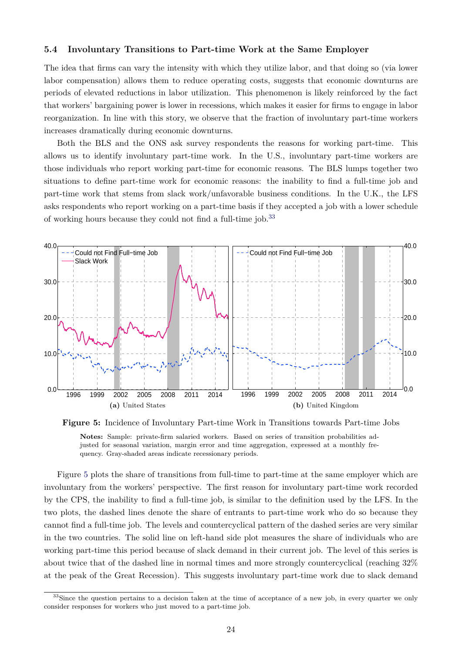#### **5.4 Involuntary Transitions to Part-time Work at the Same Employer**

The idea that firms can vary the intensity with which they utilize labor, and that doing so (via lower labor compensation) allows them to reduce operating costs, suggests that economic downturns are periods of elevated reductions in labor utilization. This phenomenon is likely reinforced by the fact that workers' bargaining power is lower in recessions, which makes it easier for firms to engage in labor reorganization. In line with this story, we observe that the fraction of involuntary part-time workers increases dramatically during economic downturns.

Both the BLS and the ONS ask survey respondents the reasons for working part-time. This allows us to identify involuntary part-time work. In the U.S., involuntary part-time workers are those individuals who report working part-time for economic reasons. The BLS lumps together two situations to define part-time work for economic reasons: the inability to find a full-time job and part-time work that stems from slack work/unfavorable business conditions. In the U.K., the LFS asks respondents who report working on a part-time basis if they accepted a job with a lower schedule of working hours because they could not find a full-time job.[33](#page--1-0)

<span id="page-25-0"></span>

**Figure 5:** Incidence of Involuntary Part-time Work in Transitions towards Part-time Jobs **Notes:** Sample: private-firm salaried workers. Based on series of transition probabilities adjusted for seasonal variation, margin error and time aggregation, expressed at a monthly frequency. Gray-shaded areas indicate recessionary periods.

Figure [5](#page-25-0) plots the share of transitions from full-time to part-time at the same employer which are involuntary from the workers' perspective. The first reason for involuntary part-time work recorded by the CPS, the inability to find a full-time job, is similar to the definition used by the LFS. In the two plots, the dashed lines denote the share of entrants to part-time work who do so because they cannot find a full-time job. The levels and countercyclical pattern of the dashed series are very similar in the two countries. The solid line on left-hand side plot measures the share of individuals who are working part-time this period because of slack demand in their current job. The level of this series is about twice that of the dashed line in normal times and more strongly countercyclical (reaching 32% at the peak of the Great Recession). This suggests involuntary part-time work due to slack demand

<sup>&</sup>lt;sup>33</sup>Since the question pertains to a decision taken at the time of acceptance of a new job, in every quarter we only consider responses for workers who just moved to a part-time job.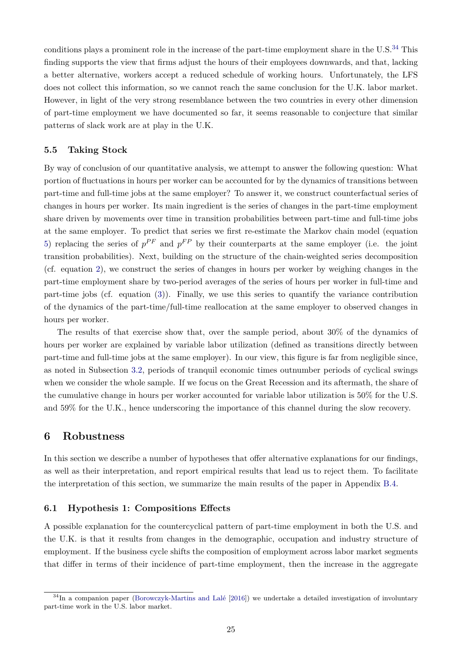conditions plays a prominent role in the increase of the part-time employment share in the  $U.S.^{34}$  $U.S.^{34}$  $U.S.^{34}$  This finding supports the view that firms adjust the hours of their employees downwards, and that, lacking a better alternative, workers accept a reduced schedule of working hours. Unfortunately, the LFS does not collect this information, so we cannot reach the same conclusion for the U.K. labor market. However, in light of the very strong resemblance between the two countries in every other dimension of part-time employment we have documented so far, it seems reasonable to conjecture that similar patterns of slack work are at play in the U.K.

#### **5.5 Taking Stock**

By way of conclusion of our quantitative analysis, we attempt to answer the following question: What portion of fluctuations in hours per worker can be accounted for by the dynamics of transitions between part-time and full-time jobs at the same employer? To answer it, we construct counterfactual series of changes in hours per worker. Its main ingredient is the series of changes in the part-time employment share driven by movements over time in transition probabilities between part-time and full-time jobs at the same employer. To predict that series we first re-estimate the Markov chain model (equation [5\)](#page-15-0) replacing the series of  $p^{PF}$  and  $p^{FP}$  by their counterparts at the same employer (i.e. the joint transition probabilities). Next, building on the structure of the chain-weighted series decomposition (cf. equation [2\)](#page-10-0), we construct the series of changes in hours per worker by weighing changes in the part-time employment share by two-period averages of the series of hours per worker in full-time and part-time jobs (cf. equation [\(3\)](#page-10-1)). Finally, we use this series to quantify the variance contribution of the dynamics of the part-time/full-time reallocation at the same employer to observed changes in hours per worker.

The results of that exercise show that, over the sample period, about 30% of the dynamics of hours per worker are explained by variable labor utilization (defined as transitions directly between part-time and full-time jobs at the same employer). In our view, this figure is far from negligible since, as noted in Subsection [3.2,](#page-10-2) periods of tranquil economic times outnumber periods of cyclical swings when we consider the whole sample. If we focus on the Great Recession and its aftermath, the share of the cumulative change in hours per worker accounted for variable labor utilization is 50% for the U.S. and 59% for the U.K., hence underscoring the importance of this channel during the slow recovery.

## <span id="page-26-0"></span>**6 Robustness**

In this section we describe a number of hypotheses that offer alternative explanations for our findings, as well as their interpretation, and report empirical results that lead us to reject them. To facilitate the interpretation of this section, we summarize the main results of the paper in Appendix [B.4.](#page-47-0)

#### <span id="page-26-1"></span>**6.1 Hypothesis 1: Compositions Effects**

A possible explanation for the countercyclical pattern of part-time employment in both the U.S. and the U.K. is that it results from changes in the demographic, occupation and industry structure of employment. If the business cycle shifts the composition of employment across labor market segments that differ in terms of their incidence of part-time employment, then the increase in the aggregate

<sup>&</sup>lt;sup>34</sup>In a companion paper [\(Borowczyk-Martins and Lalé](#page-34-11) [\[2016\]](#page-34-11)) we undertake a detailed investigation of involuntary part-time work in the U.S. labor market.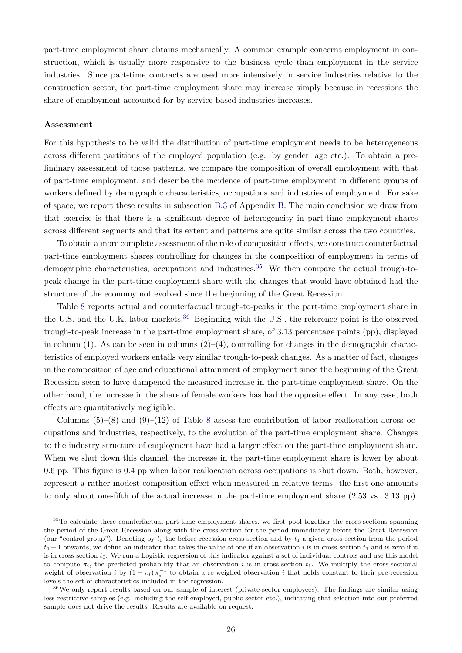part-time employment share obtains mechanically. A common example concerns employment in construction, which is usually more responsive to the business cycle than employment in the service industries. Since part-time contracts are used more intensively in service industries relative to the construction sector, the part-time employment share may increase simply because in recessions the share of employment accounted for by service-based industries increases.

#### **Assessment**

For this hypothesis to be valid the distribution of part-time employment needs to be heterogeneous across different partitions of the employed population (e.g. by gender, age etc.). To obtain a preliminary assessment of those patterns, we compare the composition of overall employment with that of part-time employment, and describe the incidence of part-time employment in different groups of workers defined by demographic characteristics, occupations and industries of employment. For sake of space, we report these results in subsection [B.3](#page-44-0) of Appendix [B.](#page-42-0) The main conclusion we draw from that exercise is that there is a significant degree of heterogeneity in part-time employment shares across different segments and that its extent and patterns are quite similar across the two countries.

To obtain a more complete assessment of the role of composition effects, we construct counterfactual part-time employment shares controlling for changes in the composition of employment in terms of demographic characteristics, occupations and industries.<sup>[35](#page--1-0)</sup> We then compare the actual trough-topeak change in the part-time employment share with the changes that would have obtained had the structure of the economy not evolved since the beginning of the Great Recession.

Table [8](#page-28-0) reports actual and counterfactual trough-to-peaks in the part-time employment share in the U.S. and the U.K. labor markets.<sup>[36](#page--1-0)</sup> Beginning with the U.S., the reference point is the observed trough-to-peak increase in the part-time employment share, of 3.13 percentage points (pp), displayed in column (1). As can be seen in columns  $(2)$ –(4), controlling for changes in the demographic characteristics of employed workers entails very similar trough-to-peak changes. As a matter of fact, changes in the composition of age and educational attainment of employment since the beginning of the Great Recession seem to have dampened the measured increase in the part-time employment share. On the other hand, the increase in the share of female workers has had the opposite effect. In any case, both effects are quantitatively negligible.

Columns  $(5)-(8)$  $(5)-(8)$  $(5)-(8)$  and  $(9)-(12)$  of Table 8 assess the contribution of labor reallocation across occupations and industries, respectively, to the evolution of the part-time employment share. Changes to the industry structure of employment have had a larger effect on the part-time employment share. When we shut down this channel, the increase in the part-time employment share is lower by about 0.6 pp. This figure is 0.4 pp when labor reallocation across occupations is shut down. Both, however, represent a rather modest composition effect when measured in relative terms: the first one amounts to only about one-fifth of the actual increase in the part-time employment share (2.53 vs. 3.13 pp).

<sup>35</sup>To calculate these counterfactual part-time employment shares, we first pool together the cross-sections spanning the period of the Great Recession along with the cross-section for the period immediately before the Great Recession (our "control group"). Denoting by  $t_0$  the before-recession cross-section and by  $t_1$  a given cross-section from the period  $t_0 + 1$  onwards, we define an indicator that takes the value of one if an observation i is in cross-section  $t_1$  and is zero if it is in cross-section  $t_0$ . We run a Logistic regression of this indicator against a set of individual controls and use this model to compute  $\pi_i$ , the predicted probability that an observation i is in cross-section  $t_1$ . We multiply the cross-sectional weight of observation i by  $(1 - \pi_i)\pi_i^{-1}$  to obtain a re-weighed observation i that holds constant to their pre-recession levels the set of characteristics included in the regression.

<sup>36</sup>We only report results based on our sample of interest (private-sector employees). The findings are similar using less restrictive samples (e.g. including the self-employed, public sector etc.), indicating that selection into our preferred sample does not drive the results. Results are available on request.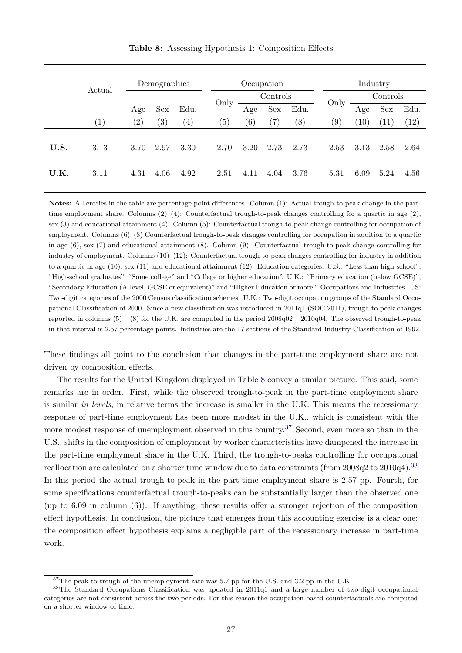<span id="page-28-0"></span>

|      | Actual            |                   | Demographics      |                   |      |                   | Occupation        |      |      | Industry |            |      |
|------|-------------------|-------------------|-------------------|-------------------|------|-------------------|-------------------|------|------|----------|------------|------|
|      |                   |                   |                   |                   |      |                   | Controls          |      |      |          | Controls   |      |
|      |                   | Age               | Sex               | Edu.              | Only | Age               | Sex               | Edu. | Only | Age      | <b>Sex</b> | Edu. |
|      | $\left( 1\right)$ | $\left( 2\right)$ | $\left( 3\right)$ | $\left( 4\right)$ | (5)  | $\left( 6\right)$ | $\left( 7\right)$ | (8)  | (9)  | (10)     | (11)       | (12) |
| U.S. | 3.13              | 3.70              | 2.97              | 3.30              | 2.70 | 3.20              | 2.73              | 2.73 | 2.53 | 3.13     | 2.58       | 2.64 |
| U.K. | 3.11              | 4.31              | 4.06              | 4.92              | 2.51 | 4.11              | 4.04              | 3.76 | 5.31 | 6.09     | 5.24       | 4.56 |

**Table 8:** Assessing Hypothesis 1: Composition Effects

**Notes:** All entries in the table are percentage point differences. Column (1): Actual trough-to-peak change in the parttime employment share. Columns  $(2)-(4)$ : Counterfactual trough-to-peak changes controlling for a quartic in age  $(2)$ , sex (3) and educational attainment (4). Column (5): Counterfactual trough-to-peak change controlling for occupation of employment. Columns (6)–(8) Counterfactual trough-to-peak changes controlling for occupation in addition to a quartic in age (6), sex (7) and educational attainment (8). Column (9): Counterfactual trough-to-peak change controlling for industry of employment. Columns (10)–(12): Counterfactual trough-to-peak changes controlling for industry in addition to a quartic in age (10), sex (11) and educational attainment (12). Education categories. U.S.: "Less than high-school", "High-school graduates", "Some college" and "College or higher education". U.K.: "Primary education (below GCSE)", "Secondary Education (A-level, GCSE or equivalent)" and "Higher Education or more". Occupations and Industries. US: Two-digit categories of the 2000 Census classification schemes. U.K.: Two-digit occupation groups of the Standard Occupational Classification of 2000. Since a new classification was introduced in 2011q1 (SOC 2011), trough-to-peak changes reported in columns  $(5) - (8)$  for the U.K. are computed in the period  $2008q02 - 2010q04$ . The observed trough-to-peak in that interval is 2.57 percentage points. Industries are the 17 sections of the Standard Industry Classification of 1992.

These findings all point to the conclusion that changes in the part-time employment share are not driven by composition effects.

The results for the United Kingdom displayed in Table [8](#page-28-0) convey a similar picture. This said, some remarks are in order. First, while the observed trough-to-peak in the part-time employment share is similar *in levels*, in relative terms the increase is smaller in the U.K. This means the recessionary response of part-time employment has been more modest in the U.K., which is consistent with the more modest response of unemployment observed in this country.<sup>[37](#page--1-0)</sup> Second, even more so than in the U.S., shifts in the composition of employment by worker characteristics have dampened the increase in the part-time employment share in the U.K. Third, the trough-to-peaks controlling for occupational reallocation are calculated on a shorter time window due to data constraints (from 2008q2 to 2010q4).[38](#page--1-0) In this period the actual trough-to-peak in the part-time employment share is 2.57 pp. Fourth, for some specifications counterfactual trough-to-peaks can be substantially larger than the observed one (up to 6.09 in column (6)). If anything, these results offer a stronger rejection of the composition effect hypothesis. In conclusion, the picture that emerges from this accounting exercise is a clear one: the composition effect hypothesis explains a negligible part of the recessionary increase in part-time work.

<sup>&</sup>lt;sup>37</sup>The peak-to-trough of the unemployment rate was 5.7 pp for the U.S. and 3.2 pp in the U.K.

<sup>38</sup>The Standard Occupations Classification was updated in 2011q1 and a large number of two-digit occupational categories are not consistent across the two periods. For this reason the occupation-based counterfactuals are computed on a shorter window of time.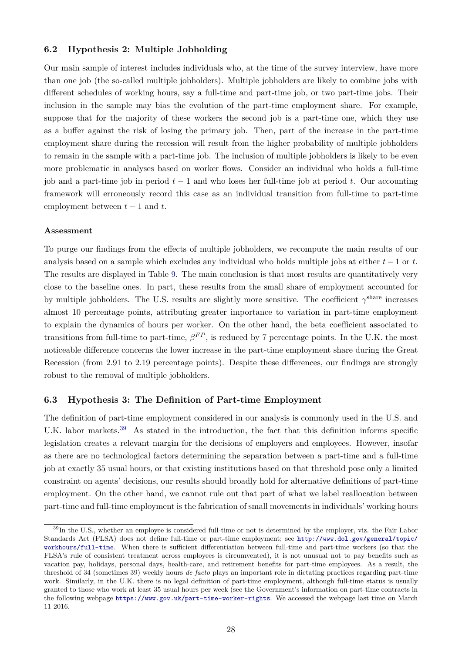#### **6.2 Hypothesis 2: Multiple Jobholding**

Our main sample of interest includes individuals who, at the time of the survey interview, have more than one job (the so-called multiple jobholders). Multiple jobholders are likely to combine jobs with different schedules of working hours, say a full-time and part-time job, or two part-time jobs. Their inclusion in the sample may bias the evolution of the part-time employment share. For example, suppose that for the majority of these workers the second job is a part-time one, which they use as a buffer against the risk of losing the primary job. Then, part of the increase in the part-time employment share during the recession will result from the higher probability of multiple jobholders to remain in the sample with a part-time job. The inclusion of multiple jobholders is likely to be even more problematic in analyses based on worker flows. Consider an individual who holds a full-time job and a part-time job in period  $t - 1$  and who loses her full-time job at period t. Our accounting framework will erroneously record this case as an individual transition from full-time to part-time employment between  $t-1$  and  $t$ .

#### **Assessment**

To purge our findings from the effects of multiple jobholders, we recompute the main results of our analysis based on a sample which excludes any individual who holds multiple jobs at either  $t - 1$  or t. The results are displayed in Table [9.](#page-30-0) The main conclusion is that most results are quantitatively very close to the baseline ones. In part, these results from the small share of employment accounted for by multiple jobholders. The U.S. results are slightly more sensitive. The coefficient  $\gamma^{\text{share}}$  increases almost 10 percentage points, attributing greater importance to variation in part-time employment to explain the dynamics of hours per worker. On the other hand, the beta coefficient associated to transitions from full-time to part-time,  $\beta^{FP}$ , is reduced by 7 percentage points. In the U.K. the most noticeable difference concerns the lower increase in the part-time employment share during the Great Recession (from 2.91 to 2.19 percentage points). Despite these differences, our findings are strongly robust to the removal of multiple jobholders.

#### **6.3 Hypothesis 3: The Definition of Part-time Employment**

The definition of part-time employment considered in our analysis is commonly used in the U.S. and U.K. labor markets.<sup>[39](#page--1-0)</sup> As stated in the introduction, the fact that this definition informs specific legislation creates a relevant margin for the decisions of employers and employees. However, insofar as there are no technological factors determining the separation between a part-time and a full-time job at exactly 35 usual hours, or that existing institutions based on that threshold pose only a limited constraint on agents' decisions, our results should broadly hold for alternative definitions of part-time employment. On the other hand, we cannot rule out that part of what we label reallocation between part-time and full-time employment is the fabrication of small movements in individuals' working hours

<sup>&</sup>lt;sup>39</sup>In the U.S., whether an employee is considered full-time or not is determined by the employer, viz. the Fair Labor Standards Act (FLSA) does not define full-time or part-time employment; see [http://www.dol.gov/general/topic/](http://www.dol.gov/general/topic/workhours/full-time) [workhours/full-time](http://www.dol.gov/general/topic/workhours/full-time). When there is sufficient differentiation between full-time and part-time workers (so that the FLSA's rule of consistent treatment across employees is circumvented), it is not unusual not to pay benefits such as vacation pay, holidays, personal days, health-care, and retirement benefits for part-time employees. As a result, the threshold of 34 (sometimes 39) weekly hours *de facto* plays an important role in dictating practices regarding part-time work. Similarly, in the U.K. there is no legal definition of part-time employment, although full-time status is usually granted to those who work at least 35 usual hours per week (see the Government's information on part-time contracts in the following webpage <https://www.gov.uk/part-time-worker-rights>. We accessed the webpage last time on March 11 2016.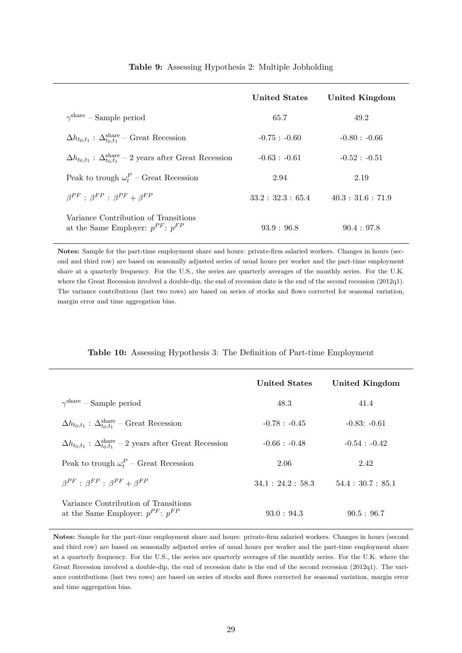<span id="page-30-0"></span>

|                                                                                          | <b>United States</b> | United Kingdom     |
|------------------------------------------------------------------------------------------|----------------------|--------------------|
| $\gamma^{\text{share}}$ – Sample period                                                  | 65.7                 | 49.2               |
| $\Delta h_{t_0,t_1}$ : $\Delta_{t_0,t_1}^{\text{share}}$ – Great Recession               | $-0.75 : -0.60$      | $-0.80 : -0.66$    |
| $\Delta h_{t_0,t_1}$ : $\Delta_{t_0,t_1}^{\text{share}}$ – 2 years after Great Recession | $-0.63 : -0.61$      | $-0.52 : -0.51$    |
| Peak to trough $\omega_t^P$ – Great Recession                                            | 2.94                 | 2.19               |
| $\beta^{PF}$ : $\beta^{FP}$ : $\beta^{PF}$ + $\beta^{FP}$                                | 33.2:32.3:65.4       | 40.3 : 31.6 : 71.9 |
| Variance Contribution of Transitions<br>at the Same Employer: $p^{PF}$ : $p^{FP}$        | 93.9 : 96.8          | 90.4:97.8          |

#### **Table 9:** Assessing Hypothesis 2: Multiple Jobholding

**Notes:** Sample for the part-time employment share and hours: private-firm salaried workers. Changes in hours (second and third row) are based on seasonally adjusted series of usual hours per worker and the part-time employment share at a quarterly frequency. For the U.S., the series are quarterly averages of the monthly series. For the U.K. where the Great Recession involved a double-dip, the end of recession date is the end of the second recession (2012q1). The variance contributions (last two rows) are based on series of stocks and flows corrected for seasonal variation, margin error and time aggregation bias.

#### **Table 10:** Assessing Hypothesis 3: The Definition of Part-time Employment

<span id="page-30-1"></span>

|                                                                                          | <b>United States</b> | United Kingdom  |
|------------------------------------------------------------------------------------------|----------------------|-----------------|
| $\gamma^{\text{share}}$ – Sample period                                                  | 48.3                 | 41.4            |
| $\Delta h_{t_0,t_1}$ : $\Delta_{t_0,t_1}^{\text{share}}$ – Great Recession               | $-0.78 : -0.45$      | $-0.83: -0.61$  |
| $\Delta h_{t_0,t_1}$ : $\Delta_{t_0,t_1}^{\text{share}}$ – 2 years after Great Recession | $-0.66 : -0.48$      | $-0.54 : -0.42$ |
| Peak to trough $\omega_t^P$ – Great Recession                                            | 2.06                 | 2.42            |
| $\beta^{PF}$ : $\beta^{FP}$ : $\beta^{PF}$ + $\beta^{FP}$                                | 34.1:24.2:58.3       | 54.4:30.7:85.1  |
| Variance Contribution of Transitions<br>at the Same Employer: $p^{PF}$ : $p^{FP}$        | 93.0:94.3            | 90.5 : 96.7     |

**Notes:** Sample for the part-time employment share and hours: private-firm salaried workers. Changes in hours (second and third row) are based on seasonally adjusted series of usual hours per worker and the part-time employment share at a quarterly frequency. For the U.S., the series are quarterly averages of the monthly series. For the U.K. where the Great Recession involved a double-dip, the end of recession date is the end of the second recession (2012q1). The variance contributions (last two rows) are based on series of stocks and flows corrected for seasonal variation, margin error and time aggregation bias.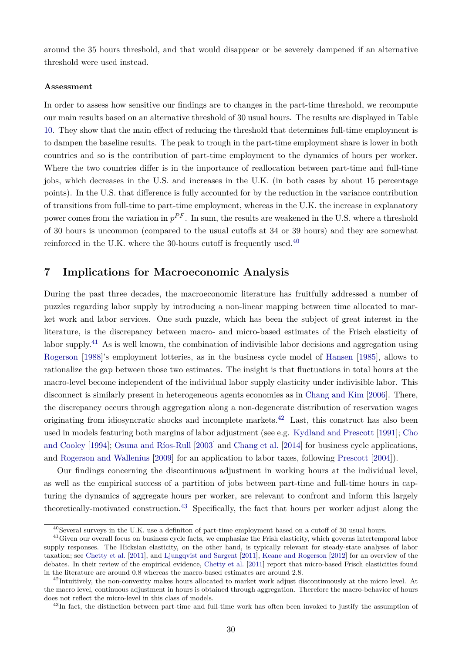around the 35 hours threshold, and that would disappear or be severely dampened if an alternative threshold were used instead.

#### **Assessment**

In order to assess how sensitive our findings are to changes in the part-time threshold, we recompute our main results based on an alternative threshold of 30 usual hours. The results are displayed in Table [10.](#page-30-1) They show that the main effect of reducing the threshold that determines full-time employment is to dampen the baseline results. The peak to trough in the part-time employment share is lower in both countries and so is the contribution of part-time employment to the dynamics of hours per worker. Where the two countries differ is in the importance of reallocation between part-time and full-time jobs, which decreases in the U.S. and increases in the U.K. (in both cases by about 15 percentage points). In the U.S. that difference is fully accounted for by the reduction in the variance contribution of transitions from full-time to part-time employment, whereas in the U.K. the increase in explanatory power comes from the variation in  $p^{PF}$ . In sum, the results are weakened in the U.S. where a threshold of 30 hours is uncommon (compared to the usual cutoffs at 34 or 39 hours) and they are somewhat reinforced in the U.K. where the 30-hours cutoff is frequently used.<sup>[40](#page--1-0)</sup>

## <span id="page-31-0"></span>**7 Implications for Macroeconomic Analysis**

During the past three decades, the macroeconomic literature has fruitfully addressed a number of puzzles regarding labor supply by introducing a non-linear mapping between time allocated to market work and labor services. One such puzzle, which has been the subject of great interest in the literature, is the discrepancy between macro- and micro-based estimates of the Frisch elasticity of labor supply.<sup>[41](#page--1-0)</sup> As is well known, the combination of indivisible labor decisions and aggregation using [Rogerson](#page-37-9) [\[1988\]](#page-37-9)'s employment lotteries, as in the business cycle model of [Hansen](#page-35-12) [\[1985\]](#page-35-12), allows to rationalize the gap between those two estimates. The insight is that fluctuations in total hours at the macro-level become independent of the individual labor supply elasticity under indivisible labor. This disconnect is similarly present in heterogeneous agents economies as in [Chang and Kim](#page-34-9) [\[2006\]](#page-34-9). There, the discrepancy occurs through aggregation along a non-degenerate distribution of reservation wages originating from idiosyncratic shocks and incomplete markets.[42](#page--1-0) Last, this construct has also been used in models featuring both margins of labor adjustment (see e.g. [Kydland and Prescott](#page-36-10) [\[1991\]](#page-36-10); [Cho](#page-34-12) [and Cooley](#page-34-12) [\[1994\]](#page-34-12); [Osuna and Ríos-Rull](#page-36-11) [\[2003\]](#page-36-11) and [Chang et al.](#page-34-13) [\[2014\]](#page-34-13) for business cycle applications, and [Rogerson and Wallenius](#page-37-10) [\[2009\]](#page-37-10) for an application to labor taxes, following [Prescott](#page-37-11) [\[2004\]](#page-37-11)).

Our findings concerning the discontinuous adjustment in working hours at the individual level, as well as the empirical success of a partition of jobs between part-time and full-time hours in capturing the dynamics of aggregate hours per worker, are relevant to confront and inform this largely theoretically-motivated construction.[43](#page--1-0) Specifically, the fact that hours per worker adjust along the

<sup>40</sup>Several surveys in the U.K. use a definiton of part-time employment based on a cutoff of 30 usual hours.

<sup>&</sup>lt;sup>41</sup>Given our overall focus on business cycle facts, we emphasize the Frish elasticity, which governs intertemporal labor supply responses. The Hicksian elasticity, on the other hand, is typically relevant for steady-state analyses of labor taxation; see [Chetty et al.](#page-34-14) [\[2011\]](#page-34-14), and [Ljungqvist and Sargent](#page-36-12) [\[2011\]](#page-36-12), [Keane and Rogerson](#page-36-13) [\[2012\]](#page-36-13) for an overview of the debates. In their review of the empirical evidence, [Chetty et al.](#page-34-14) [\[2011\]](#page-34-14) report that micro-based Frisch elasticities found in the literature are around 0.8 whereas the macro-based estimates are around 2.8.

 $^{42}$ Intuitively, the non-convexity makes hours allocated to market work adjust discontinuously at the micro level. At the macro level, continuous adjustment in hours is obtained through aggregation. Therefore the macro-behavior of hours does not reflect the micro-level in this class of models.

<sup>&</sup>lt;sup>43</sup>In fact, the distinction between part-time and full-time work has often been invoked to justify the assumption of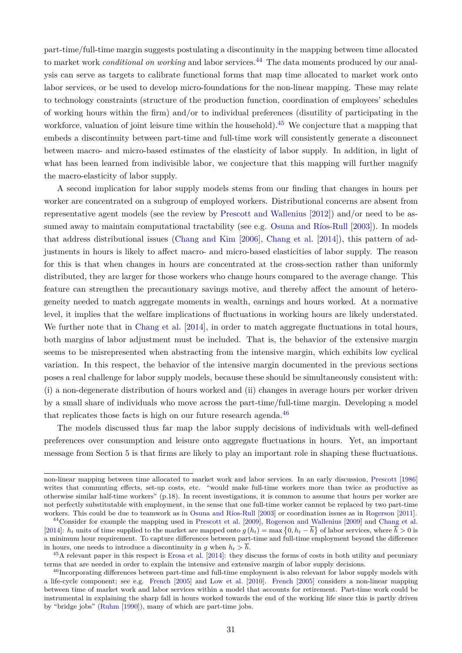part-time/full-time margin suggests postulating a discontinuity in the mapping between time allocated to market work *conditional on working* and labor services.<sup>[44](#page--1-0)</sup> The data moments produced by our analysis can serve as targets to calibrate functional forms that map time allocated to market work onto labor services, or be used to develop micro-foundations for the non-linear mapping. These may relate to technology constraints (structure of the production function, coordination of employees' schedules of working hours within the firm) and/or to individual preferences (disutility of participating in the workforce, valuation of joint leisure time within the household).<sup>[45](#page--1-0)</sup> We conjecture that a mapping that embeds a discontinuity between part-time and full-time work will consistently generate a disconnect between macro- and micro-based estimates of the elasticity of labor supply. In addition, in light of what has been learned from indivisible labor, we conjecture that this mapping will further magnify the macro-elasticity of labor supply.

A second implication for labor supply models stems from our finding that changes in hours per worker are concentrated on a subgroup of employed workers. Distributional concerns are absent from representative agent models (see the review by [Prescott and Wallenius](#page-37-5) [\[2012\]](#page-37-5)) and/or need to be assumed away to maintain computational tractability (see e.g. [Osuna and Ríos-Rull](#page-36-11) [\[2003\]](#page-36-11)). In models that address distributional issues [\(Chang and Kim](#page-34-9) [\[2006\]](#page-34-9), [Chang et al.](#page-34-13) [\[2014\]](#page-34-13)), this pattern of adjustments in hours is likely to affect macro- and micro-based elasticities of labor supply. The reason for this is that when changes in hours are concentrated at the cross-section rather than uniformly distributed, they are larger for those workers who change hours compared to the average change. This feature can strengthen the precautionary savings motive, and thereby affect the amount of heterogeneity needed to match aggregate moments in wealth, earnings and hours worked. At a normative level, it implies that the welfare implications of fluctuations in working hours are likely understated. We further note that in [Chang et al.](#page-34-13) [\[2014\]](#page-34-13), in order to match aggregate fluctuations in total hours, both margins of labor adjustment must be included. That is, the behavior of the extensive margin seems to be misrepresented when abstracting from the intensive margin, which exhibits low cyclical variation. In this respect, the behavior of the intensive margin documented in the previous sections poses a real challenge for labor supply models, because these should be simultaneously consistent with: (i) a non-degenerate distribution of hours worked and (ii) changes in average hours per worker driven by a small share of individuals who move across the part-time/full-time margin. Developing a model that replicates those facts is high on our future research agenda.<sup>[46](#page--1-0)</sup>

The models discussed thus far map the labor supply decisions of individuals with well-defined preferences over consumption and leisure onto aggregate fluctuations in hours. Yet, an important message from Section [5](#page-19-0) is that firms are likely to play an important role in shaping these fluctuations.

non-linear mapping between time allocated to market work and labor services. In an early discussion, [Prescott](#page-36-14) [\[1986\]](#page-36-14) writes that commuting effects, set-up costs, etc. "would make full-time workers more than twice as productive as otherwise similar half-time workers" (p.18). In recent investigations, it is common to assume that hours per worker are not perfectly substitutable with employment, in the sense that one full-time worker cannot be replaced by two part-time workers. This could be due to teamwork as in [Osuna and Ríos-Rull](#page-36-11) [\[2003\]](#page-36-11) or coordination issues as in [Rogerson](#page-37-12) [\[2011\]](#page-37-12).

<sup>44</sup>Consider for example the mapping used in [Prescott et al.](#page-37-13) [\[2009\]](#page-37-13), [Rogerson and Wallenius](#page-37-10) [\[2009\]](#page-37-10) and [Chang et al.](#page-34-13) [\[2014\]](#page-34-13):  $h_t$  units of time supplied to the market are mapped onto  $g(h_t) = \max\{0, h_t - \overline{h}\}\$  of labor services, where  $\overline{h} > 0$  is a minimum hour requirement. To capture differences between part-time and full-time employment beyond the difference in hours, one needs to introduce a discontinuity in g when  $h_t > \overline{h}$ .

 $^{45}$ A relevant paper in this respect is [Erosa et al.](#page-35-13) [\[2014\]](#page-35-13): they discuss the forms of costs in both utility and pecuniary terms that are needed in order to explain the intensive and extensive margin of labor supply decisions.

<sup>46</sup>Incorporating differences between part-time and full-time employment is also relevant for labor supply models with a life-cycle component; see e.g. [French](#page-35-14) [\[2005\]](#page-35-14) and [Low et al.](#page-36-15) [\[2010\]](#page-36-15). [French](#page-35-14) [\[2005\]](#page-35-14) considers a non-linear mapping between time of market work and labor services within a model that accounts for retirement. Part-time work could be instrumental in explaining the sharp fall in hours worked towards the end of the working life since this is partly driven by "bridge jobs" [\(Ruhm](#page-37-14) [\[1990\]](#page-37-14)), many of which are part-time jobs.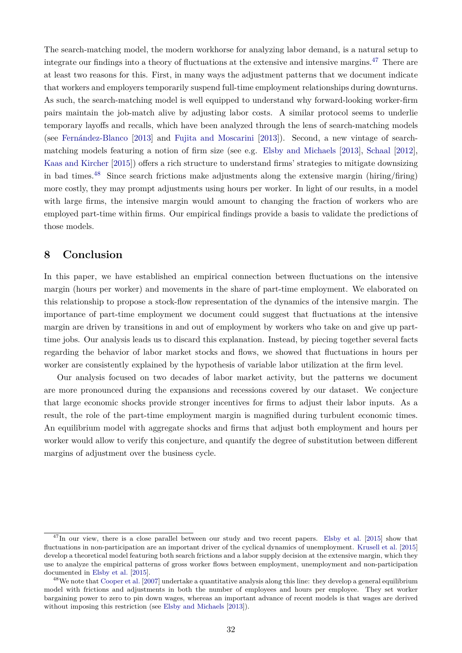The search-matching model, the modern workhorse for analyzing labor demand, is a natural setup to integrate our findings into a theory of fluctuations at the extensive and intensive margins.<sup>[47](#page--1-0)</sup> There are at least two reasons for this. First, in many ways the adjustment patterns that we document indicate that workers and employers temporarily suspend full-time employment relationships during downturns. As such, the search-matching model is well equipped to understand why forward-looking worker-firm pairs maintain the job-match alive by adjusting labor costs. A similar protocol seems to underlie temporary layoffs and recalls, which have been analyzed through the lens of search-matching models (see [Fernández-Blanco](#page-35-15) [\[2013\]](#page-35-15) and [Fujita and Moscarini](#page-35-16) [\[2013\]](#page-35-16)). Second, a new vintage of searchmatching models featuring a notion of firm size (see e.g. [Elsby and Michaels](#page-35-8) [\[2013\]](#page-35-8), [Schaal](#page-37-7) [\[2012\]](#page-37-7), [Kaas and Kircher](#page-36-3) [\[2015\]](#page-36-3)) offers a rich structure to understand firms' strategies to mitigate downsizing in bad times.<sup>[48](#page--1-0)</sup> Since search frictions make adjustments along the extensive margin (hiring/firing) more costly, they may prompt adjustments using hours per worker. In light of our results, in a model with large firms, the intensive margin would amount to changing the fraction of workers who are employed part-time within firms. Our empirical findings provide a basis to validate the predictions of those models.

## <span id="page-33-0"></span>**8 Conclusion**

In this paper, we have established an empirical connection between fluctuations on the intensive margin (hours per worker) and movements in the share of part-time employment. We elaborated on this relationship to propose a stock-flow representation of the dynamics of the intensive margin. The importance of part-time employment we document could suggest that fluctuations at the intensive margin are driven by transitions in and out of employment by workers who take on and give up parttime jobs. Our analysis leads us to discard this explanation. Instead, by piecing together several facts regarding the behavior of labor market stocks and flows, we showed that fluctuations in hours per worker are consistently explained by the hypothesis of variable labor utilization at the firm level.

Our analysis focused on two decades of labor market activity, but the patterns we document are more pronounced during the expansions and recessions covered by our dataset. We conjecture that large economic shocks provide stronger incentives for firms to adjust their labor inputs. As a result, the role of the part-time employment margin is magnified during turbulent economic times. An equilibrium model with aggregate shocks and firms that adjust both employment and hours per worker would allow to verify this conjecture, and quantify the degree of substitution between different margins of adjustment over the business cycle.

<sup>&</sup>lt;sup>47</sup>In our view, there is a close parallel between our study and two recent papers. [Elsby et al.](#page-35-0) [\[2015\]](#page-35-0) show that fluctuations in non-participation are an important driver of the cyclical dynamics of unemployment. [Krusell et al.](#page-36-16) [\[2015\]](#page-36-16) develop a theoretical model featuring both search frictions and a labor supply decision at the extensive margin, which they use to analyze the empirical patterns of gross worker flows between employment, unemployment and non-participation documented in [Elsby et al.](#page-35-0) [\[2015\]](#page-35-0).

 $^{48}$ We note that [Cooper et al.](#page-35-5) [\[2007\]](#page-35-5) undertake a quantitative analysis along this line: they develop a general equilibrium model with frictions and adjustments in both the number of employees and hours per employee. They set worker bargaining power to zero to pin down wages, whereas an important advance of recent models is that wages are derived without imposing this restriction (see [Elsby and Michaels](#page-35-8) [\[2013\]](#page-35-8)).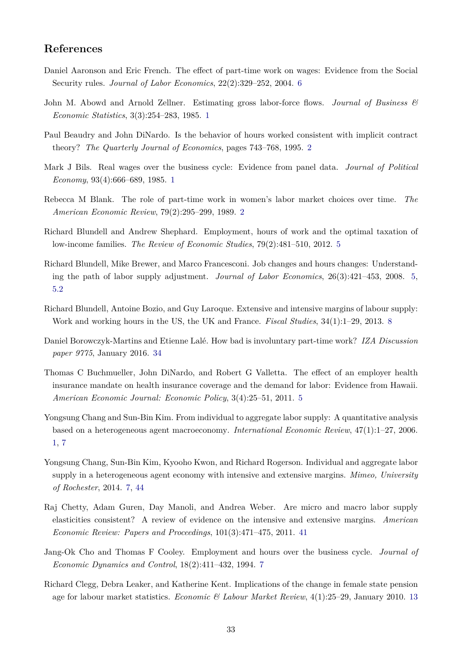## **References**

- <span id="page-34-7"></span>Daniel Aaronson and Eric French. The effect of part-time work on wages: Evidence from the Social Security rules. *Journal of Labor Economics*, 22(2):329–252, 2004. [6](#page-4-0)
- <span id="page-34-3"></span>John M. Abowd and Arnold Zellner. Estimating gross labor-force flows. *Journal of Business & Economic Statistics*, 3(3):254–283, 1985. [1](#page-3-0)
- <span id="page-34-2"></span>Paul Beaudry and John DiNardo. Is the behavior of hours worked consistent with implicit contract theory? *The Quarterly Journal of Economics*, pages 743–768, 1995. [2](#page-3-0)
- <span id="page-34-0"></span>Mark J Bils. Real wages over the business cycle: Evidence from panel data. *Journal of Political Economy*, 93(4):666–689, 1985. [1](#page-3-0)
- <span id="page-34-1"></span>Rebecca M Blank. The role of part-time work in women's labor market choices over time. *The American Economic Review*, 79(2):295–299, 1989. [2](#page-3-0)
- <span id="page-34-6"></span>Richard Blundell and Andrew Shephard. Employment, hours of work and the optimal taxation of low-income families. *The Review of Economic Studies*, 79(2):481–510, 2012. [5](#page-4-0)
- <span id="page-34-5"></span>Richard Blundell, Mike Brewer, and Marco Francesconi. Job changes and hours changes: Understanding the path of labor supply adjustment. *Journal of Labor Economics*, 26(3):421–453, 2008. [5,](#page-4-0) [5.2](#page-21-0)
- <span id="page-34-8"></span>Richard Blundell, Antoine Bozio, and Guy Laroque. Extensive and intensive margins of labour supply: Work and working hours in the US, the UK and France. *Fiscal Studies*, 34(1):1–29, 2013. [8](#page-4-0)
- <span id="page-34-11"></span>Daniel Borowczyk-Martins and Etienne Lalé. How bad is involuntary part-time work? *IZA Discussion paper 9775*, January 2016. [34](#page-25-0)
- <span id="page-34-4"></span>Thomas C Buchmueller, John DiNardo, and Robert G Valletta. The effect of an employer health insurance mandate on health insurance coverage and the demand for labor: Evidence from Hawaii. *American Economic Journal: Economic Policy*, 3(4):25–51, 2011. [5](#page-4-0)
- <span id="page-34-9"></span>Yongsung Chang and Sun-Bin Kim. From individual to aggregate labor supply: A quantitative analysis based on a heterogeneous agent macroeconomy. *International Economic Review*, 47(1):1–27, 2006. [1,](#page-4-0) [7](#page-31-0)
- <span id="page-34-13"></span>Yongsung Chang, Sun-Bin Kim, Kyooho Kwon, and Richard Rogerson. Individual and aggregate labor supply in a heterogeneous agent economy with intensive and extensive margins. *Mimeo, University of Rochester*, 2014. [7,](#page-31-0) [44](#page-31-0)
- <span id="page-34-14"></span>Raj Chetty, Adam Guren, Day Manoli, and Andrea Weber. Are micro and macro labor supply elasticities consistent? A review of evidence on the intensive and extensive margins. *American Economic Review: Papers and Proceedings*, 101(3):471–475, 2011. [41](#page-31-0)
- <span id="page-34-12"></span>Jang-Ok Cho and Thomas F Cooley. Employment and hours over the business cycle. *Journal of Economic Dynamics and Control*, 18(2):411–432, 1994. [7](#page-31-0)
- <span id="page-34-10"></span>Richard Clegg, Debra Leaker, and Katherine Kent. Implications of the change in female state pension age for labour market statistics. *Economic & Labour Market Review*, 4(1):25–29, January 2010. [13](#page-7-0)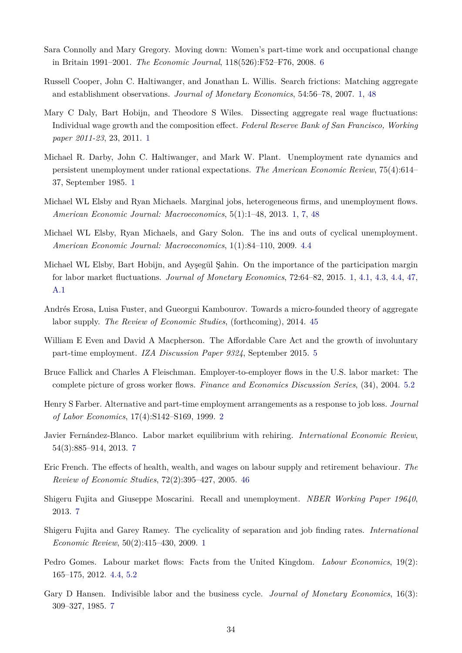- <span id="page-35-7"></span>Sara Connolly and Mary Gregory. Moving down: Women's part-time work and occupational change in Britain 1991–2001. *The Economic Journal*, 118(526):F52–F76, 2008. [6](#page-4-0)
- <span id="page-35-5"></span>Russell Cooper, John C. Haltiwanger, and Jonathan L. Willis. Search frictions: Matching aggregate and establishment observations. *Journal of Monetary Economics*, 54:56–78, 2007. [1,](#page-4-0) [48](#page-31-0)
- <span id="page-35-1"></span>Mary C Daly, Bart Hobijn, and Theodore S Wiles. Dissecting aggregate real wage fluctuations: Individual wage growth and the composition effect. *Federal Reserve Bank of San Francisco, Working paper 2011-23*, 23, 2011. [1](#page-3-0)
- <span id="page-35-3"></span>Michael R. Darby, John C. Haltiwanger, and Mark W. Plant. Unemployment rate dynamics and persistent unemployment under rational expectations. *The American Economic Review*, 75(4):614– 37, September 1985. [1](#page-3-0)
- <span id="page-35-8"></span>Michael WL Elsby and Ryan Michaels. Marginal jobs, heterogeneous firms, and unemployment flows. *American Economic Journal: Macroeconomics*, 5(1):1–48, 2013. [1,](#page-4-0) [7,](#page-31-0) [48](#page-31-0)
- <span id="page-35-9"></span>Michael WL Elsby, Ryan Michaels, and Gary Solon. The ins and outs of cyclical unemployment. *American Economic Journal: Macroeconomics*, 1(1):84–110, 2009. [4.4](#page-18-1)
- <span id="page-35-0"></span>Michael WL Elsby, Bart Hobijn, and Ayşegül Şahin. On the importance of the participation margin for labor market fluctuations. *Journal of Monetary Economics*, 72:64–82, 2015. [1,](#page-3-0) [4.1,](#page-15-0) [4.3,](#page-16-1) [4.4,](#page-17-0) [47,](#page-31-0) [A.1](#page-38-2)
- <span id="page-35-13"></span>Andrés Erosa, Luisa Fuster, and Gueorgui Kambourov. Towards a micro-founded theory of aggregate labor supply. *The Review of Economic Studies*, (forthcoming), 2014. [45](#page-31-0)
- <span id="page-35-6"></span>William E Even and David A Macpherson. The Affordable Care Act and the growth of involuntary part-time employment. *IZA Discussion Paper 9324*, September 2015. [5](#page-4-0)
- <span id="page-35-11"></span>Bruce Fallick and Charles A Fleischman. Employer-to-employer flows in the U.S. labor market: The complete picture of gross worker flows. *Finance and Economics Discussion Series*, (34), 2004. [5.2](#page-21-0)
- <span id="page-35-2"></span>Henry S Farber. Alternative and part-time employment arrangements as a response to job loss. *Journal of Labor Economics*, 17(4):S142–S169, 1999. [2](#page-3-0)
- <span id="page-35-15"></span>Javier Fernández-Blanco. Labor market equilibrium with rehiring. *International Economic Review*, 54(3):885–914, 2013. [7](#page-31-0)
- <span id="page-35-14"></span>Eric French. The effects of health, wealth, and wages on labour supply and retirement behaviour. *The Review of Economic Studies*, 72(2):395–427, 2005. [46](#page-31-0)
- <span id="page-35-16"></span>Shigeru Fujita and Giuseppe Moscarini. Recall and unemployment. *NBER Working Paper 19640*, 2013. [7](#page-31-0)
- <span id="page-35-4"></span>Shigeru Fujita and Garey Ramey. The cyclicality of separation and job finding rates. *International Economic Review*, 50(2):415–430, 2009. [1](#page-3-0)
- <span id="page-35-10"></span>Pedro Gomes. Labour market flows: Facts from the United Kingdom. *Labour Economics*, 19(2): 165–175, 2012. [4.4,](#page-18-1) [5.2](#page-21-0)
- <span id="page-35-12"></span>Gary D Hansen. Indivisible labor and the business cycle. *Journal of Monetary Economics*, 16(3): 309–327, 1985. [7](#page-31-0)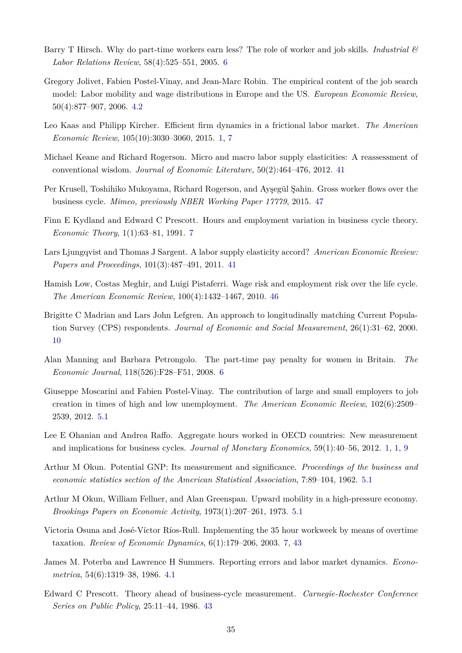- <span id="page-36-1"></span>Barry T Hirsch. Why do part-time workers earn less? The role of worker and job skills. *Industrial & Labor Relations Review*, 58(4):525–551, 2005. [6](#page-4-0)
- <span id="page-36-6"></span>Gregory Jolivet, Fabien Postel-Vinay, and Jean-Marc Robin. The empirical content of the job search model: Labor mobility and wage distributions in Europe and the US. *European Economic Review*, 50(4):877–907, 2006. [4.2](#page-16-2)
- <span id="page-36-3"></span>Leo Kaas and Philipp Kircher. Efficient firm dynamics in a frictional labor market. *The American Economic Review*, 105(10):3030–3060, 2015. [1,](#page-4-0) [7](#page-31-0)
- <span id="page-36-13"></span>Michael Keane and Richard Rogerson. Micro and macro labor supply elasticities: A reassessment of conventional wisdom. *Journal of Economic Literature*, 50(2):464–476, 2012. [41](#page-31-0)
- <span id="page-36-16"></span>Per Krusell, Toshihiko Mukoyama, Richard Rogerson, and Ayşegül Şahin. Gross worker flows over the business cycle. *Mimeo, previously NBER Working Paper 17779*, 2015. [47](#page-31-0)
- <span id="page-36-10"></span>Finn E Kydland and Edward C Prescott. Hours and employment variation in business cycle theory. *Economic Theory*, 1(1):63–81, 1991. [7](#page-31-0)
- <span id="page-36-12"></span>Lars Ljungqvist and Thomas J Sargent. A labor supply elasticity accord? *American Economic Review: Papers and Proceedings*, 101(3):487–491, 2011. [41](#page-31-0)
- <span id="page-36-15"></span>Hamish Low, Costas Meghir, and Luigi Pistaferri. Wage risk and employment risk over the life cycle. *The American Economic Review*, 100(4):1432–1467, 2010. [46](#page-31-0)
- <span id="page-36-4"></span>Brigitte C Madrian and Lars John Lefgren. An approach to longitudinally matching Current Population Survey (CPS) respondents. *Journal of Economic and Social Measurement*, 26(1):31–62, 2000. [10](#page-6-1)
- <span id="page-36-2"></span>Alan Manning and Barbara Petrongolo. The part-time pay penalty for women in Britain. *The Economic Journal*, 118(526):F28–F51, 2008. [6](#page-4-0)
- <span id="page-36-8"></span>Giuseppe Moscarini and Fabien Postel-Vinay. The contribution of large and small employers to job creation in times of high and low unemployment. *The American Economic Review*, 102(6):2509– 2539, 2012. [5.1](#page-21-1)
- <span id="page-36-0"></span>Lee E Ohanian and Andrea Raffo. Aggregate hours worked in OECD countries: New measurement and implications for business cycles. *Journal of Monetary Economics*, 59(1):40–56, 2012. [1,](#page-3-0) [1,](#page-4-0) [9](#page-4-0)
- <span id="page-36-9"></span>Arthur M Okun. Potential GNP: Its measurement and significance. *Proceedings of the business and economic statistics section of the American Statistical Association*, 7:89–104, 1962. [5.1](#page-21-1)
- <span id="page-36-7"></span>Arthur M Okun, William Fellner, and Alan Greenspan. Upward mobility in a high-pressure economy. *Brookings Papers on Economic Activity*, 1973(1):207–261, 1973. [5.1](#page-21-1)
- <span id="page-36-11"></span>Victoria Osuna and José-Víctor Ríos-Rull. Implementing the 35 hour workweek by means of overtime taxation. *Review of Economic Dynamics*, 6(1):179–206, 2003. [7,](#page-31-0) [43](#page-31-0)
- <span id="page-36-5"></span>James M. Poterba and Lawrence H Summers. Reporting errors and labor market dynamics. *Econometrica*, 54(6):1319–38, 1986. [4.1](#page-15-0)
- <span id="page-36-14"></span>Edward C Prescott. Theory ahead of business-cycle measurement. *Carnegie-Rochester Conference Series on Public Policy*, 25:11–44, 1986. [43](#page-31-0)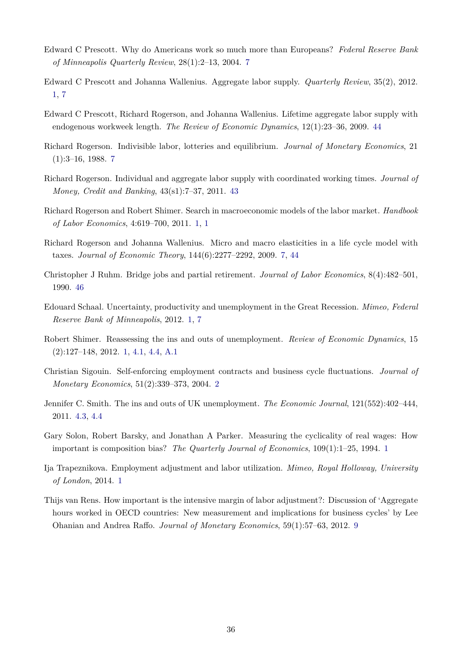- <span id="page-37-11"></span>Edward C Prescott. Why do Americans work so much more than Europeans? *Federal Reserve Bank of Minneapolis Quarterly Review*, 28(1):2–13, 2004. [7](#page-31-0)
- <span id="page-37-5"></span>Edward C Prescott and Johanna Wallenius. Aggregate labor supply. *Quarterly Review*, 35(2), 2012. [1,](#page-4-0) [7](#page-31-0)
- <span id="page-37-13"></span>Edward C Prescott, Richard Rogerson, and Johanna Wallenius. Lifetime aggregate labor supply with endogenous workweek length. *The Review of Economic Dynamics*, 12(1):23–36, 2009. [44](#page-31-0)
- <span id="page-37-9"></span>Richard Rogerson. Indivisible labor, lotteries and equilibrium. *Journal of Monetary Economics*, 21  $(1):3-16, 1988.7$  $(1):3-16, 1988.7$
- <span id="page-37-12"></span>Richard Rogerson. Individual and aggregate labor supply with coordinated working times. *Journal of Money, Credit and Banking*, 43(s1):7–37, 2011. [43](#page-31-0)
- <span id="page-37-1"></span>Richard Rogerson and Robert Shimer. Search in macroeconomic models of the labor market. *Handbook of Labor Economics*, 4:619–700, 2011. [1,](#page-3-0) [1](#page-4-0)
- <span id="page-37-10"></span>Richard Rogerson and Johanna Wallenius. Micro and macro elasticities in a life cycle model with taxes. *Journal of Economic Theory*, 144(6):2277–2292, 2009. [7,](#page-31-0) [44](#page-31-0)
- <span id="page-37-14"></span>Christopher J Ruhm. Bridge jobs and partial retirement. *Journal of Labor Economics*, 8(4):482–501, 1990. [46](#page-31-0)
- <span id="page-37-7"></span>Edouard Schaal. Uncertainty, productivity and unemployment in the Great Recession. *Mimeo, Federal Reserve Bank of Minneapolis*, 2012. [1,](#page-4-0) [7](#page-31-0)
- <span id="page-37-0"></span>Robert Shimer. Reassessing the ins and outs of unemployment. *Review of Economic Dynamics*, 15 (2):127–148, 2012. [1,](#page-3-0) [4.1,](#page-15-0) [4.4,](#page-18-1) [A.1](#page-39-0)
- <span id="page-37-3"></span>Christian Sigouin. Self-enforcing employment contracts and business cycle fluctuations. *Journal of Monetary Economics*, 51(2):339–373, 2004. [2](#page-3-0)
- <span id="page-37-8"></span>Jennifer C. Smith. The ins and outs of UK unemployment. *The Economic Journal*, 121(552):402–444, 2011. [4.3,](#page-16-1) [4.4](#page-18-1)
- <span id="page-37-2"></span>Gary Solon, Robert Barsky, and Jonathan A Parker. Measuring the cyclicality of real wages: How important is composition bias? *The Quarterly Journal of Economics*, 109(1):1–25, 1994. [1](#page-3-0)
- <span id="page-37-4"></span>Ija Trapeznikova. Employment adjustment and labor utilization. *Mimeo, Royal Holloway, University of London*, 2014. [1](#page-4-0)
- <span id="page-37-6"></span>Thijs van Rens. How important is the intensive margin of labor adjustment?: Discussion of 'Aggregate hours worked in OECD countries: New measurement and implications for business cycles' by Lee Ohanian and Andrea Raffo. *Journal of Monetary Economics*, 59(1):57–63, 2012. [9](#page-4-0)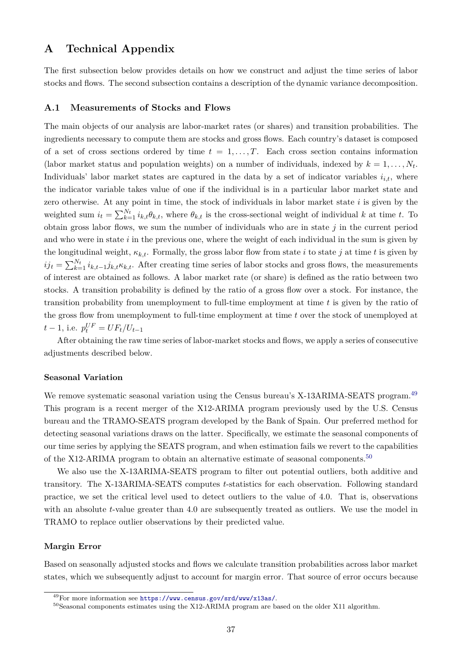## <span id="page-38-1"></span>**A Technical Appendix**

The first subsection below provides details on how we construct and adjust the time series of labor stocks and flows. The second subsection contains a description of the dynamic variance decomposition.

#### <span id="page-38-0"></span>**A.1 Measurements of Stocks and Flows**

The main objects of our analysis are labor-market rates (or shares) and transition probabilities. The ingredients necessary to compute them are stocks and gross flows. Each country's dataset is composed of a set of cross sections ordered by time  $t = 1, \ldots, T$ . Each cross section contains information (labor market status and population weights) on a number of individuals, indexed by  $k = 1, \ldots, N_t$ . Individuals' labor market states are captured in the data by a set of indicator variables  $i_{i,t}$ , where the indicator variable takes value of one if the individual is in a particular labor market state and zero otherwise. At any point in time, the stock of individuals in labor market state  $i$  is given by the weighted sum  $i_t = \sum_{k=1}^{N_t} i_{k,t} \theta_{k,t}$ , where  $\theta_{k,t}$  is the cross-sectional weight of individual k at time t. To obtain gross labor flows, we sum the number of individuals who are in state  $j$  in the current period and who were in state  $i$  in the previous one, where the weight of each individual in the sum is given by the longitudinal weight,  $\kappa_{k,t}$ . Formally, the gross labor flow from state i to state j at time t is given by  $ij_t = \sum_{k=1}^{N_t} i_{k,t-1}j_{k,t} \kappa_{k,t}$ . After creating time series of labor stocks and gross flows, the measurements of interest are obtained as follows. A labor market rate (or share) is defined as the ratio between two stocks. A transition probability is defined by the ratio of a gross flow over a stock. For instance, the transition probability from unemployment to full-time employment at time  $t$  is given by the ratio of the gross flow from unemployment to full-time employment at time t over the stock of unemployed at  $t-1$ , i.e.  $p_t^{UF} = UF_t/U_{t-1}$ 

After obtaining the raw time series of labor-market stocks and flows, we apply a series of consecutive adjustments described below.

#### **Seasonal Variation**

We remove systematic seasonal variation using the Census bureau's X-13ARIMA-SEATS program.<sup>[49](#page--1-0)</sup> This program is a recent merger of the X12-ARIMA program previously used by the U.S. Census bureau and the TRAMO-SEATS program developed by the Bank of Spain. Our preferred method for detecting seasonal variations draws on the latter. Specifically, we estimate the seasonal components of our time series by applying the SEATS program, and when estimation fails we revert to the capabilities of the X12-ARIMA program to obtain an alternative estimate of seasonal components.<sup>[50](#page--1-0)</sup>

We also use the X-13ARIMA-SEATS program to filter out potential outliers, both additive and transitory. The X-13ARIMA-SEATS computes t-statistics for each observation. Following standard practice, we set the critical level used to detect outliers to the value of 4.0. That is, observations with an absolute t-value greater than 4.0 are subsequently treated as outliers. We use the model in TRAMO to replace outlier observations by their predicted value.

#### <span id="page-38-2"></span>**Margin Error**

Based on seasonally adjusted stocks and flows we calculate transition probabilities across labor market states, which we subsequently adjust to account for margin error. That source of error occurs because

<sup>49</sup>For more information see <https://www.census.gov/srd/www/x13as/>.

<sup>&</sup>lt;sup>50</sup>Seasonal components estimates using the X12-ARIMA program are based on the older X11 algorithm.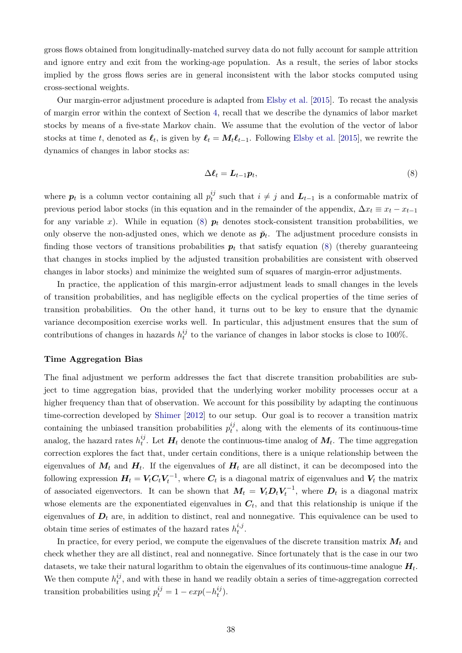gross flows obtained from longitudinally-matched survey data do not fully account for sample attrition and ignore entry and exit from the working-age population. As a result, the series of labor stocks implied by the gross flows series are in general inconsistent with the labor stocks computed using cross-sectional weights.

Our margin-error adjustment procedure is adapted from [Elsby et al.](#page-35-0) [\[2015\]](#page-35-0). To recast the analysis of margin error within the context of Section [4,](#page-14-0) recall that we describe the dynamics of labor market stocks by means of a five-state Markov chain. We assume that the evolution of the vector of labor stocks at time t, denoted as  $\ell_t$ , is given by  $\ell_t = M_t\ell_{t-1}$ . Following [Elsby et al.](#page-35-0) [\[2015\]](#page-35-0), we rewrite the dynamics of changes in labor stocks as:

<span id="page-39-1"></span>
$$
\Delta \ell_t = L_{t-1} p_t,\tag{8}
$$

where  $p_t$  is a column vector containing all  $p_t^{ij}$  $t_i^{ij}$  such that  $i \neq j$  and  $L_{t-1}$  is a conformable matrix of previous period labor stocks (in this equation and in the remainder of the appendix,  $\Delta x_t \equiv x_t - x_{t-1}$ for any variable x). While in equation [\(8\)](#page-39-1)  $p_t$  denotes stock-consistent transition probabilities, we only observe the non-adjusted ones, which we denote as  $\breve{p}_t$ . The adjustment procedure consists in finding those vectors of transitions probabilities  $p_t$  that satisfy equation [\(8\)](#page-39-1) (thereby guaranteeing that changes in stocks implied by the adjusted transition probabilities are consistent with observed changes in labor stocks) and minimize the weighted sum of squares of margin-error adjustments.

In practice, the application of this margin-error adjustment leads to small changes in the levels of transition probabilities, and has negligible effects on the cyclical properties of the time series of transition probabilities. On the other hand, it turns out to be key to ensure that the dynamic variance decomposition exercise works well. In particular, this adjustment ensures that the sum of contributions of changes in hazards  $h_t^{ij}$  $t<sub>t</sub><sup>ij</sup>$  to the variance of changes in labor stocks is close to 100%.

#### <span id="page-39-0"></span>**Time Aggregation Bias**

The final adjustment we perform addresses the fact that discrete transition probabilities are subject to time aggregation bias, provided that the underlying worker mobility processes occur at a higher frequency than that of observation. We account for this possibility by adapting the continuous time-correction developed by [Shimer](#page-37-0) [\[2012\]](#page-37-0) to our setup. Our goal is to recover a transition matrix containing the unbiased transition probabilities  $p_t^{ij}$  $t_i^{ij}$ , along with the elements of its continuous-time analog, the hazard rates  $h_t^{ij}$  $t_t^j$ . Let  $H_t$  denote the continuous-time analog of  $M_t$ . The time aggregation correction explores the fact that, under certain conditions, there is a unique relationship between the eigenvalues of  $M_t$  and  $H_t$ . If the eigenvalues of  $H_t$  are all distinct, it can be decomposed into the following expression  $H_t = V_t C_t V_t^{-1}$ , where  $C_t$  is a diagonal matrix of eigenvalues and  $V_t$  the matrix of associated eigenvectors. It can be shown that  $M_t = V_t D_t V_t^{-1}$ , where  $D_t$  is a diagonal matrix whose elements are the exponentiated eigenvalues in  $C_t$ , and that this relationship is unique if the eigenvalues of  $D_t$  are, in addition to distinct, real and nonnegative. This equivalence can be used to obtain time series of estimates of the hazard rates  $h_t^{i,j}$  $_{t}^{\imath,\jmath}.$ 

In practice, for every period, we compute the eigenvalues of the discrete transition matrix  $M_t$  and check whether they are all distinct, real and nonnegative. Since fortunately that is the case in our two datasets, we take their natural logarithm to obtain the eigenvalues of its continuous-time analogue  $H_t$ . We then compute  $h_t^{ij}$  $t<sub>t</sub><sup>t</sup>$ , and with these in hand we readily obtain a series of time-aggregation corrected transition probabilities using  $p_t^{ij} = 1 - exp(-h_t^{ij})$  $\binom{ij}{t}$ .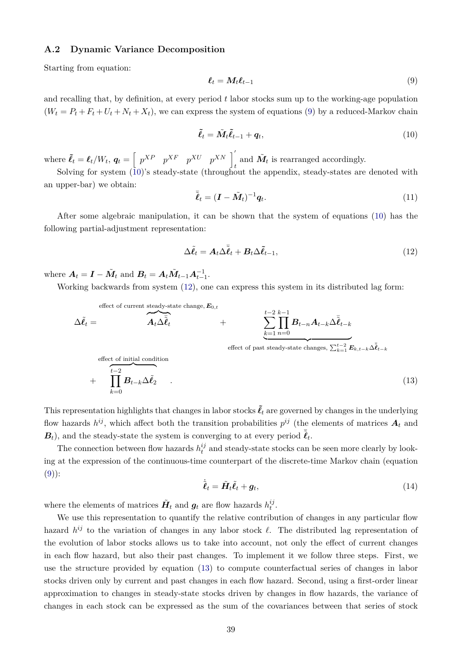#### <span id="page-40-0"></span>**A.2 Dynamic Variance Decomposition**

Starting from equation:

<span id="page-40-1"></span>
$$
\ell_t = M_t \ell_{t-1} \tag{9}
$$

and recalling that, by definition, at every period t labor stocks sum up to the working-age population  $(W_t = P_t + F_t + U_t + N_t + X_t)$ , we can express the system of equations [\(9\)](#page-40-1) by a reduced-Markov chain

<span id="page-40-2"></span>
$$
\tilde{\ell}_t = \tilde{M}_t \tilde{\ell}_{t-1} + \boldsymbol{q}_t,\tag{10}
$$

where  $\tilde{\ell}_t = \ell_t/W_t$ ,  $\mathbf{q}_t = \begin{bmatrix} p^{XP} & p^{XF} & p^{XU} & p^{XN} \end{bmatrix}$ and  $\tilde{M}_t$  is rearranged accordingly.

Solving for system [\(10\)](#page-40-2)'s steady-state (throughout the appendix, steady-states are denoted with an upper-bar) we obtain:

$$
\bar{\tilde{\ell}}_t = (\boldsymbol{I} - \tilde{\boldsymbol{M}}_t)^{-1} \boldsymbol{q}_t. \tag{11}
$$

After some algebraic manipulation, it can be shown that the system of equations [\(10\)](#page-40-2) has the following partial-adjustment representation:

<span id="page-40-3"></span>
$$
\Delta \tilde{\ell}_t = A_t \Delta \bar{\tilde{\ell}}_t + B_t \Delta \tilde{\ell}_{t-1},
$$
\n(12)

where  $A_t = I - \tilde{M}_t$  and  $B_t = A_t \tilde{M}_{t-1} A_{t-1}^{-1}$ .

Working backwards from system [\(12\)](#page-40-3), one can express this system in its distributed lag form:

$$
\Delta \tilde{\ell}_t = \overbrace{\mathbf{A}_t \Delta \tilde{\ell}_t}^{\text{effect of current steady-state change, } E_{0,t}} + \sum_{\substack{k=1 \ n=0}}^{t-2} \prod_{n=0}^{k-1} B_{t-n} A_{t-k} \Delta \tilde{\ell}_{t-k}
$$
\n
$$
\text{effect of initial condition}
$$
\n
$$
+ \prod_{k=0}^{t-2} B_{t-k} \Delta \tilde{\ell}_2 \tag{13}
$$

This representation highlights that changes in labor stocks  $\tilde{\ell}_t$  are governed by changes in the underlying flow hazards  $h^{ij}$ , which affect both the transition probabilities  $p^{ij}$  (the elements of matrices  $A_t$  and  $\boldsymbol{B}_t$ ), and the steady-state the system is converging to at every period  $\tilde{\boldsymbol{\ell}}_t$ .

The connection between flow hazards  $h_t^{ij}$  $t<sub>t</sub><sup>i</sup>$  and steady-state stocks can be seen more clearly by looking at the expression of the continuous-time counterpart of the discrete-time Markov chain (equation  $(9)$ :

<span id="page-40-5"></span><span id="page-40-4"></span>
$$
\dot{\tilde{\boldsymbol{\ell}}}_t = \tilde{\boldsymbol{H}}_t \tilde{\boldsymbol{\ell}}_t + \boldsymbol{g}_t,\tag{14}
$$

where the elements of matrices  $\tilde{H}_t$  and  $g_t$  are flow hazards  $h_t^{ij}$  $_t^{\imath\jmath}.$ 

We use this representation to quantify the relative contribution of changes in any particular flow hazard  $h^{ij}$  to the variation of changes in any labor stock  $\ell$ . The distributed lag representation of the evolution of labor stocks allows us to take into account, not only the effect of current changes in each flow hazard, but also their past changes. To implement it we follow three steps. First, we use the structure provided by equation [\(13\)](#page-40-4) to compute counterfactual series of changes in labor stocks driven only by current and past changes in each flow hazard. Second, using a first-order linear approximation to changes in steady-state stocks driven by changes in flow hazards, the variance of changes in each stock can be expressed as the sum of the covariances between that series of stock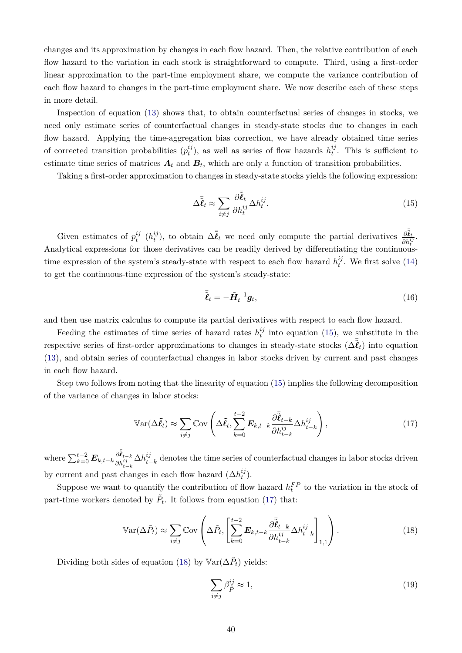changes and its approximation by changes in each flow hazard. Then, the relative contribution of each flow hazard to the variation in each stock is straightforward to compute. Third, using a first-order linear approximation to the part-time employment share, we compute the variance contribution of each flow hazard to changes in the part-time employment share. We now describe each of these steps in more detail.

Inspection of equation [\(13\)](#page-40-4) shows that, to obtain counterfactual series of changes in stocks, we need only estimate series of counterfactual changes in steady-state stocks due to changes in each flow hazard. Applying the time-aggregation bias correction, we have already obtained time series of corrected transition probabilities  $(p_t^{ij})$  $t_i^{ij}$ ), as well as series of flow hazards  $h_t^{ij}$  $t^{ij}$ . This is sufficient to estimate time series of matrices  $A_t$  and  $B_t$ , which are only a function of transition probabilities.

Taking a first-order approximation to changes in steady-state stocks yields the following expression:

<span id="page-41-0"></span>
$$
\Delta \bar{\tilde{\ell}}_t \approx \sum_{i \neq j} \frac{\partial \bar{\tilde{\ell}}_t}{\partial h_t^{ij}} \Delta h_t^{ij}.
$$
\n(15)

Given estimates of  $p_t^{ij}$  $_i^{ij}$   $(h_t^{ij}$  $(t<sub>t</sub><sup>ij</sup>)$ , to obtain  $\Delta \bar{\tilde{\ell}}_t$  we need only compute the partial derivatives  $\frac{\partial \tilde{\tilde{\ell}}_t}{\partial b_i^{i}}$  $\frac{\partial \boldsymbol{\ell}_t}{\partial h^{ij}_t}.$ Analytical expressions for those derivatives can be readily derived by differentiating the continuoustime expression of the system's steady-state with respect to each flow hazard  $h_t^{ij}$  $t^{ij}$ . We first solve [\(14\)](#page-40-5) to get the continuous-time expression of the system's steady-state:

$$
\bar{\tilde{\ell}}_t = -\tilde{H}_t^{-1} g_t,\tag{16}
$$

and then use matrix calculus to compute its partial derivatives with respect to each flow hazard.

Feeding the estimates of time series of hazard rates  $h_t^{ij}$  $t_i^{ij}$  into equation [\(15\)](#page-41-0), we substitute in the respective series of first-order approximations to changes in steady-state stocks  $(\Delta \tilde{\bar{\ell}}_t)$  into equation [\(13\)](#page-40-4), and obtain series of counterfactual changes in labor stocks driven by current and past changes in each flow hazard.

Step two follows from noting that the linearity of equation [\(15\)](#page-41-0) implies the following decomposition of the variance of changes in labor stocks:

<span id="page-41-1"></span>
$$
\mathbb{V}\text{ar}(\Delta \tilde{\ell}_t) \approx \sum_{i \neq j} \mathbb{C}\text{ov}\left(\Delta \tilde{\ell}_t, \sum_{k=0}^{t-2} \boldsymbol{E}_{k,t-k} \frac{\partial \tilde{\ell}_{t-k}}{\partial h_{t-k}^{ij}} \Delta h_{t-k}^{ij}\right),\tag{17}
$$

where  $\sum_{k=0}^{t-2}$   $\bm{E}_{k,t-k} \frac{\partial \tilde{\bar{\bm{\ell}}}_{t-k}}{\partial \bm{h}^{ij}}$  $\frac{\partial \bm{\ell}_{t-k}}{\partial h^{ij}_{t-k}} \Delta h^{ij}_{t-k}$  $t_{t-k}$ <sup>*t*</sup> denotes the time series of counterfactual changes in labor stocks driven by current and past changes in each flow hazard  $(\Delta h_t^{ij})$  $\binom{ij}{t}$ .

Suppose we want to quantify the contribution of flow hazard  $h_t^{FP}$  to the variation in the stock of part-time workers denoted by  $\tilde{P}_t$ . It follows from equation [\(17\)](#page-41-1) that:

<span id="page-41-2"></span>
$$
\mathbb{V}\text{ar}(\Delta \tilde{P}_t) \approx \sum_{i \neq j} \mathbb{C}\text{ov}\left(\Delta \tilde{P}_t, \left[\sum_{k=0}^{t-2} \boldsymbol{E}_{k,t-k} \frac{\partial \bar{\tilde{\boldsymbol{\ell}}}_{t-k}}{\partial h_{t-k}^{ij}} \Delta h_{t-k}^{ij}\right]_{1,1}\right). \tag{18}
$$

Dividing both sides of equation [\(18\)](#page-41-2) by  $\mathbb{V}\text{ar}(\Delta \tilde{P}_t)$  yields:

$$
\sum_{i \neq j} \beta_{\tilde{P}}^{ij} \approx 1,\tag{19}
$$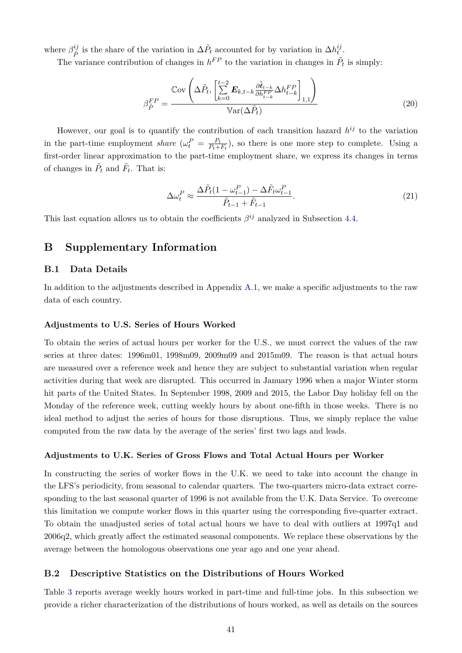where  $\beta_{\tilde{P}}^{ij}$ <sup>ij</sup> is the share of the variation in  $\Delta \tilde{P}_t$  accounted for by variation in  $\Delta h_t^{ij}$  $\frac{ij}{t}$  .

The variance contribution of changes in  $h^{FP}$  to the variation in changes in  $\tilde{P}_t$  is simply:

$$
\beta_{\tilde{P}}^{FP} = \frac{\mathbb{C}\text{ov}\left(\Delta\tilde{P}_t, \left[\sum_{k=0}^{t-2} \boldsymbol{E}_{k,t-k} \frac{\partial \bar{\tilde{\boldsymbol{\ell}}}_{t-k}}{\partial h_{t-k}^{FP}} \Delta h_{t-k}^{FP}\right]_{1,1}\right)}{\mathbb{V}\text{ar}(\Delta\tilde{P}_t)}\tag{20}
$$

However, our goal is to quantify the contribution of each transition hazard  $h^{ij}$  to the variation in the part-time employment *share*  $(\omega_t^P = \frac{P_t}{P_t + P_t})$  $\frac{P_t}{P_t+F_t}$ , so there is one more step to complete. Using a first-order linear approximation to the part-time employment share, we express its changes in terms of changes in  $\tilde{P}_t$  and  $\tilde{F}_t$ . That is:

$$
\Delta\omega_t^P \approx \frac{\Delta\tilde{P}_t(1-\omega_{t-1}^P) - \Delta\tilde{F}_t\omega_{t-1}^P}{\tilde{P}_{t-1} + \tilde{F}_{t-1}}.\tag{21}
$$

This last equation allows us to obtain the coefficients  $\beta^{ij}$  analyzed in Subsection [4.4.](#page-17-0)

## <span id="page-42-0"></span>**B Supplementary Information**

#### **B.1 Data Details**

In addition to the adjustments described in Appendix [A.1,](#page-38-0) we make a specific adjustments to the raw data of each country.

#### **Adjustments to U.S. Series of Hours Worked**

To obtain the series of actual hours per worker for the U.S., we must correct the values of the raw series at three dates: 1996m01, 1998m09, 2009m09 and 2015m09. The reason is that actual hours are measured over a reference week and hence they are subject to substantial variation when regular activities during that week are disrupted. This occurred in January 1996 when a major Winter storm hit parts of the United States. In September 1998, 2009 and 2015, the Labor Day holiday fell on the Monday of the reference week, cutting weekly hours by about one-fifth in those weeks. There is no ideal method to adjust the series of hours for those disruptions. Thus, we simply replace the value computed from the raw data by the average of the series' first two lags and leads.

#### **Adjustments to U.K. Series of Gross Flows and Total Actual Hours per Worker**

In constructing the series of worker flows in the U.K. we need to take into account the change in the LFS's periodicity, from seasonal to calendar quarters. The two-quarters micro-data extract corresponding to the last seasonal quarter of 1996 is not available from the U.K. Data Service. To overcome this limitation we compute worker flows in this quarter using the corresponding five-quarter extract. To obtain the unadjusted series of total actual hours we have to deal with outliers at 1997q1 and 2006q2, which greatly affect the estimated seasonal components. We replace these observations by the average between the homologous observations one year ago and one year ahead.

#### **B.2 Descriptive Statistics on the Distributions of Hours Worked**

Table [3](#page-14-1) reports average weekly hours worked in part-time and full-time jobs. In this subsection we provide a richer characterization of the distributions of hours worked, as well as details on the sources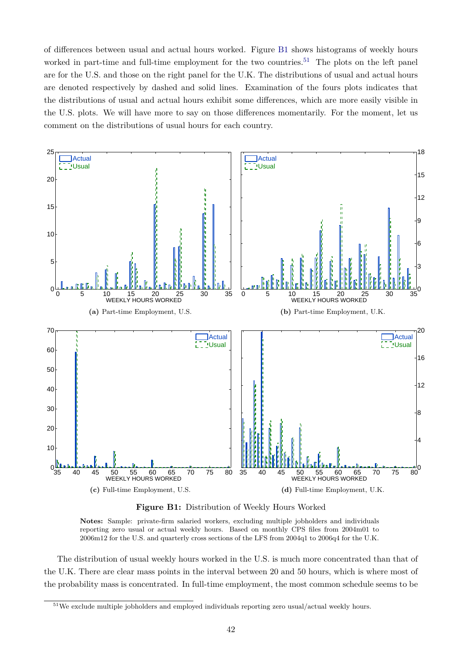of differences between usual and actual hours worked. Figure [B1](#page-43-0) shows histograms of weekly hours worked in part-time and full-time employment for the two countries.<sup>[51](#page--1-0)</sup> The plots on the left panel are for the U.S. and those on the right panel for the U.K. The distributions of usual and actual hours are denoted respectively by dashed and solid lines. Examination of the fours plots indicates that the distributions of usual and actual hours exhibit some differences, which are more easily visible in the U.S. plots. We will have more to say on those differences momentarily. For the moment, let us comment on the distributions of usual hours for each country.

<span id="page-43-0"></span>

**Figure B1:** Distribution of Weekly Hours Worked

**Notes:** Sample: private-firm salaried workers, excluding multiple jobholders and individuals reporting zero usual or actual weekly hours. Based on monthly CPS files from 2004m01 to 2006m12 for the U.S. and quarterly cross sections of the LFS from 2004q1 to 2006q4 for the U.K.

The distribution of usual weekly hours worked in the U.S. is much more concentrated than that of the U.K. There are clear mass points in the interval between 20 and 50 hours, which is where most of the probability mass is concentrated. In full-time employment, the most common schedule seems to be

<sup>&</sup>lt;sup>51</sup>We exclude multiple jobholders and employed individuals reporting zero usual/actual weekly hours.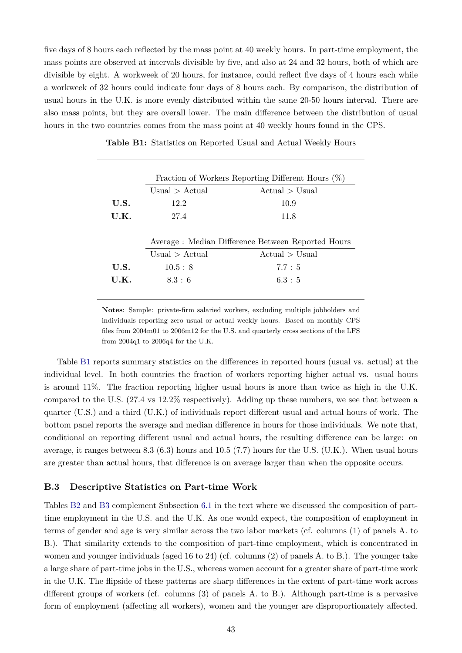five days of 8 hours each reflected by the mass point at 40 weekly hours. In part-time employment, the mass points are observed at intervals divisible by five, and also at 24 and 32 hours, both of which are divisible by eight. A workweek of 20 hours, for instance, could reflect five days of 4 hours each while a workweek of 32 hours could indicate four days of 8 hours each. By comparison, the distribution of usual hours in the U.K. is more evenly distributed within the same 20-50 hours interval. There are also mass points, but they are overall lower. The main difference between the distribution of usual hours in the two countries comes from the mass point at 40 weekly hours found in the CPS.

|      | Fraction of Workers Reporting Different Hours $(\%)$ |                |  |  |
|------|------------------------------------------------------|----------------|--|--|
|      | Usual $\ge$ Actual                                   | Actual > Usual |  |  |
| U.S. | 12.2                                                 | 10.9           |  |  |
| U.K. | 27.4                                                 | 11.8           |  |  |
|      | Average: Median Difference Between Reported Hours    |                |  |  |
|      |                                                      |                |  |  |
|      |                                                      |                |  |  |
|      | Usual $>$ Actual                                     | Actual > Usual |  |  |
| U.S. | 10.5 : 8                                             | 7.7:5          |  |  |
| U.K. | 8.3:6                                                | 6.3 : 5        |  |  |

<span id="page-44-1"></span>**Table B1:** Statistics on Reported Usual and Actual Weekly Hours

**Notes**: Sample: private-firm salaried workers, excluding multiple jobholders and individuals reporting zero usual or actual weekly hours. Based on monthly CPS files from 2004m01 to 2006m12 for the U.S. and quarterly cross sections of the LFS from 2004q1 to 2006q4 for the U.K.

Table [B1](#page-44-1) reports summary statistics on the differences in reported hours (usual vs. actual) at the individual level. In both countries the fraction of workers reporting higher actual vs. usual hours is around 11%. The fraction reporting higher usual hours is more than twice as high in the U.K. compared to the U.S. (27.4 vs 12.2% respectively). Adding up these numbers, we see that between a quarter (U.S.) and a third (U.K.) of individuals report different usual and actual hours of work. The bottom panel reports the average and median difference in hours for those individuals. We note that, conditional on reporting different usual and actual hours, the resulting difference can be large: on average, it ranges between 8.3 (6.3) hours and 10.5 (7.7) hours for the U.S. (U.K.). When usual hours are greater than actual hours, that difference is on average larger than when the opposite occurs.

#### <span id="page-44-0"></span>**B.3 Descriptive Statistics on Part-time Work**

Tables [B2](#page-45-0) and [B3](#page-46-0) complement Subsection [6.1](#page-26-1) in the text where we discussed the composition of parttime employment in the U.S. and the U.K. As one would expect, the composition of employment in terms of gender and age is very similar across the two labor markets (cf. columns (1) of panels A. to B.). That similarity extends to the composition of part-time employment, which is concentrated in women and younger individuals (aged 16 to 24) (cf. columns (2) of panels A. to B.). The younger take a large share of part-time jobs in the U.S., whereas women account for a greater share of part-time work in the U.K. The flipside of these patterns are sharp differences in the extent of part-time work across different groups of workers (cf. columns (3) of panels A. to B.). Although part-time is a pervasive form of employment (affecting all workers), women and the younger are disproportionately affected.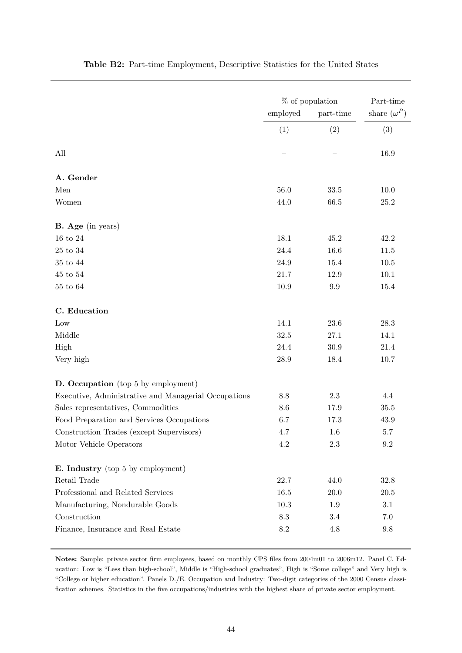<span id="page-45-0"></span>

|                                                      | % of population<br>employed<br>part-time |           | Part-time<br>share $(\omega^P)$ |  |
|------------------------------------------------------|------------------------------------------|-----------|---------------------------------|--|
|                                                      | (1)                                      | (2)       | (3)                             |  |
| All                                                  |                                          |           | 16.9                            |  |
| A. Gender                                            |                                          |           |                                 |  |
| Men                                                  | $56.0\,$                                 | 33.5      | $10.0\,$                        |  |
| Women                                                | 44.0                                     | 66.5      | $25.2\,$                        |  |
| <b>B.</b> Age (in years)                             |                                          |           |                                 |  |
| $16$ to $24\,$                                       | 18.1                                     | 45.2      | 42.2                            |  |
| $25$ to $34\,$                                       | 24.4                                     | 16.6      | 11.5                            |  |
| $35$ to $44\,$                                       | $24.9\,$                                 | 15.4      | $10.5\,$                        |  |
| $45$ to $54\,$                                       | 21.7                                     | 12.9      | $10.1\,$                        |  |
| $55$ to $64\,$                                       | $10.9\,$                                 | $\rm 9.9$ | 15.4                            |  |
| C. Education                                         |                                          |           |                                 |  |
| Low                                                  | 14.1                                     | $23.6\,$  | $28.3\,$                        |  |
| Middle                                               | 32.5                                     | 27.1      | 14.1                            |  |
| High                                                 | 24.4                                     | $30.9\,$  | $21.4\,$                        |  |
| Very high                                            | $28.9\,$                                 | 18.4      | 10.7                            |  |
| D. Occupation (top 5 by employment)                  |                                          |           |                                 |  |
| Executive, Administrative and Managerial Occupations | 8.8                                      | 2.3       | 4.4                             |  |
| Sales representatives, Commodities                   | 8.6                                      | 17.9      | $35.5\,$                        |  |
| Food Preparation and Services Occupations            | 6.7                                      | 17.3      | 43.9                            |  |
| Construction Trades (except Supervisors)             | 4.7                                      | 1.6       | 5.7                             |  |
| Motor Vehicle Operators                              | $4.2\,$                                  | $2.3\,$   | $\,9.2$                         |  |
| <b>E.</b> Industry (top 5 by employment)             |                                          |           |                                 |  |
| Retail Trade                                         | 22.7                                     | 44.0      | 32.8                            |  |
| Professional and Related Services                    | 16.5                                     | $20.0\,$  | $20.5\,$                        |  |
| Manufacturing, Nondurable Goods                      | $10.3\,$                                 | 1.9       | $3.1\,$                         |  |
| Construction                                         | $\!\!\!\!\!8.3$                          | 3.4       | 7.0                             |  |
| Finance, Insurance and Real Estate                   | $8.2\,$                                  | 4.8       | $\,9.8$                         |  |

#### **Table B2:** Part-time Employment, Descriptive Statistics for the United States

**Notes:** Sample: private sector firm employees, based on monthly CPS files from 2004m01 to 2006m12. Panel C. Education: Low is "Less than high-school", Middle is "High-school graduates", High is "Some college" and Very high is "College or higher education". Panels D./E. Occupation and Industry: Two-digit categories of the 2000 Census classification schemes. Statistics in the five occupations/industries with the highest share of private sector employment.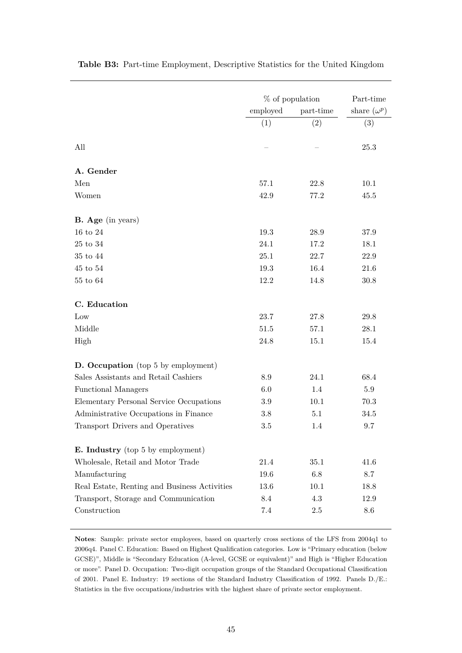|                                              | $%$ of population |           | Part-time          |  |
|----------------------------------------------|-------------------|-----------|--------------------|--|
|                                              | employed          | part-time | share $(\omega^p)$ |  |
|                                              | (1)               | (2)       | (3)                |  |
| All                                          |                   |           | 25.3               |  |
| A. Gender                                    |                   |           |                    |  |
| Men                                          | 57.1              | 22.8      | 10.1               |  |
| Women                                        | 42.9              | 77.2      | 45.5               |  |
| <b>B.</b> Age (in years)                     |                   |           |                    |  |
| $16$ to $24\,$                               | 19.3              | 28.9      | 37.9               |  |
| $25$ to $34\,$                               | 24.1              | 17.2      | 18.1               |  |
| 35 to 44                                     | 25.1              | 22.7      | 22.9               |  |
| $45$ to $54\,$                               | 19.3              | 16.4      | 21.6               |  |
| $55$ to $64\,$                               | 12.2              | 14.8      | $30.8\,$           |  |
| C. Education                                 |                   |           |                    |  |
| Low                                          | 23.7              | 27.8      | 29.8               |  |
| Middle                                       | 51.5              | 57.1      | $28.1\,$           |  |
| High                                         | 24.8              | 15.1      | 15.4               |  |
| <b>D.</b> Occupation (top 5 by employment)   |                   |           |                    |  |
| Sales Assistants and Retail Cashiers         | 8.9               | 24.1      | 68.4               |  |
| <b>Functional Managers</b>                   | 6.0               | 1.4       | 5.9                |  |
| Elementary Personal Service Occupations      | $3.9\,$           | 10.1      | 70.3               |  |
| Administrative Occupations in Finance        | $3.8\,$           | 5.1       | 34.5               |  |
| Transport Drivers and Operatives             | $3.5\,$           | 1.4       | 9.7                |  |
| <b>E.</b> Industry (top 5 by employment)     |                   |           |                    |  |
| Wholesale, Retail and Motor Trade            | 21.4              | 35.1      | 41.6               |  |
| Manufacturing                                | 19.6              | 6.8       | 8.7                |  |
| Real Estate, Renting and Business Activities | 13.6              | 10.1      | 18.8               |  |
| Transport, Storage and Communication         | 8.4               | 4.3       | 12.9               |  |
| Construction                                 | 7.4               | $2.5\,$   | 8.6                |  |

<span id="page-46-0"></span>**Table B3:** Part-time Employment, Descriptive Statistics for the United Kingdom

**Notes**: Sample: private sector employees, based on quarterly cross sections of the LFS from 2004q1 to 2006q4. Panel C. Education: Based on Highest Qualification categories. Low is "Primary education (below GCSE)", Middle is "Secondary Education (A-level, GCSE or equivalent)" and High is "Higher Education or more". Panel D. Occupation: Two-digit occupation groups of the Standard Occupational Classification of 2001. Panel E. Industry: 19 sections of the Standard Industry Classification of 1992. Panels D./E.: Statistics in the five occupations/industries with the highest share of private sector employment.